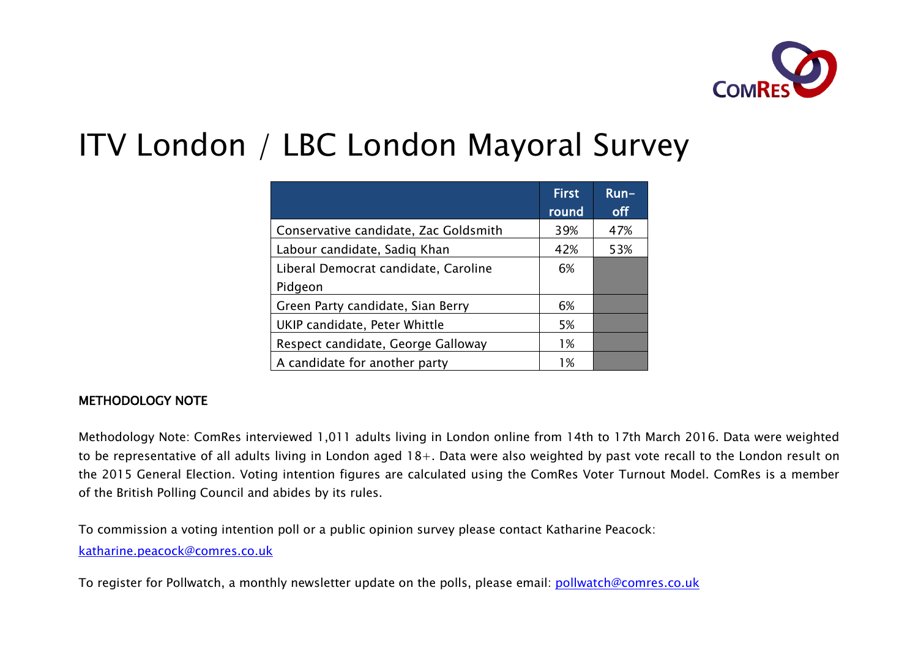

# ITV London / LBC London Mayoral Survey

|                                       | <b>First</b><br>round | $Run-$<br>off |
|---------------------------------------|-----------------------|---------------|
| Conservative candidate, Zac Goldsmith | 39%                   | 47%           |
| Labour candidate, Sadiq Khan          | 42%                   | 53%           |
| Liberal Democrat candidate, Caroline  | 6%                    |               |
| Pidgeon                               |                       |               |
| Green Party candidate, Sian Berry     | 6%                    |               |
| UKIP candidate, Peter Whittle         | 5%                    |               |
| Respect candidate, George Galloway    | 1%                    |               |
| A candidate for another party         | 1%                    |               |

#### METHODOLOGY NOTE

Methodology Note: ComRes interviewed 1,011 adults living in London online from 14th to 17th March 2016. Data were weighted to be representative of all adults living in London aged 18+. Data were also weighted by past vote recall to the London result on the 2015 General Election. Voting intention figures are calculated using the ComRes Voter Turnout Model. ComRes is a member of the British Polling Council and abides by its rules.

To commission a voting intention poll or a public opinion survey please contact Katharine Peacock:

katharine.peacock@comres.co.uk

To register for Pollwatch, a monthly newsletter update on the polls, please email: pollwatch@comres.co.uk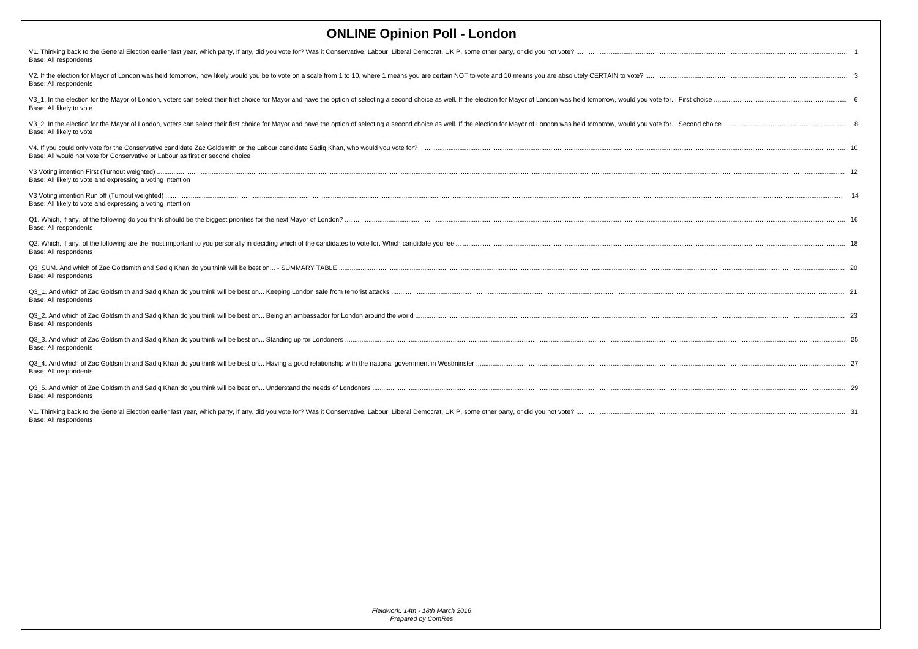| <b>ONLINE Opinion Poll - London</b>                                                                                                                                                                                                                       |  |
|-----------------------------------------------------------------------------------------------------------------------------------------------------------------------------------------------------------------------------------------------------------|--|
| V1. Thinking back to the General Election earlier last year, which party, if any, did you vote for? Was it Conservative, Labour, Liberal Democrat, UKIP, some other party, or did you not vote?<br>Base: All respondents                                  |  |
| V2. If the election for Mayor of London was held tomorrow, how likely would you be to vote on a scale from 1 to 10, where 1 means you are certain NOT to vote and 10 means you are absolutely CERTAIN to vote?<br>Base: All respondents                   |  |
| V3 1. In the election for the Mayor of London, voters can select their first choice for Mayor and have the option of selecting a second choice as well. If the election for Mayor of London was held tomorrow, would you vote<br>Base: All likely to vote |  |
| V3 2. In the election for the Mayor of London, voters can select their first choice for Mayor and have the option of selecting a second choice as well. If the election for Mayor of London was held tomorrow, would you vote<br>Base: All likely to vote |  |
| Base: All would not vote for Conservative or Labour as first or second choice                                                                                                                                                                             |  |
| Base: All likely to vote and expressing a voting intention                                                                                                                                                                                                |  |
| Base: All likely to vote and expressing a voting intention                                                                                                                                                                                                |  |
| Base: All respondents                                                                                                                                                                                                                                     |  |
| Base: All respondents                                                                                                                                                                                                                                     |  |
| Base: All respondents                                                                                                                                                                                                                                     |  |
| Base: All respondents                                                                                                                                                                                                                                     |  |
| Base: All respondents                                                                                                                                                                                                                                     |  |
| Base: All respondents                                                                                                                                                                                                                                     |  |
| Base: All respondents                                                                                                                                                                                                                                     |  |
| Base: All respondents                                                                                                                                                                                                                                     |  |
| V1. Thinking back to the General Election earlier last year, which party, if any, did you vote for? Was it Conservative, Labour, Liberal Democrat, UKIP, some other party, or did you not vote?<br>Base: All respondents                                  |  |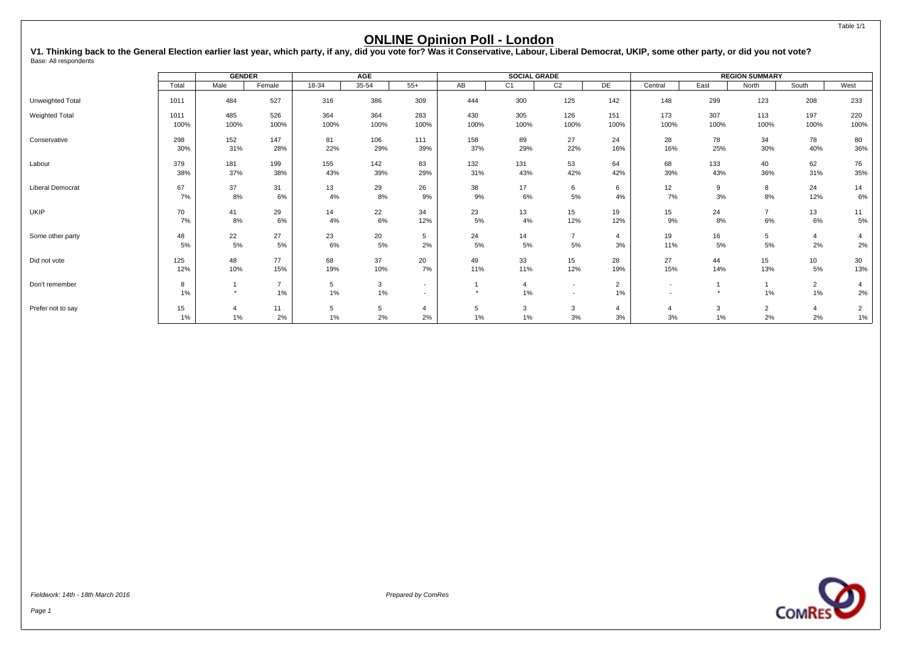<span id="page-2-0"></span>V1. Thinking back to the General Election earlier last year, which party, if any, did you vote for? Was it Conservative, Labour, Liberal Democrat, UKIP, some other party, or did you not vote?<br><sub>Base: All respondents</sub>

|                   |            | <b>GENDER</b> |                         |          | <b>AGE</b>         |                                                      |          | <b>SOCIAL GRADE</b> |                                                      |                      |           |          | <b>REGION SUMMARY</b> |                      |                         |
|-------------------|------------|---------------|-------------------------|----------|--------------------|------------------------------------------------------|----------|---------------------|------------------------------------------------------|----------------------|-----------|----------|-----------------------|----------------------|-------------------------|
|                   | Total      | Male          | Female                  | $18-34$  | $35 - 54$          | $55+$                                                | AB       | C <sub>1</sub>      | C <sub>2</sub>                                       | DE                   | Central   | East     | North                 | South                | West                    |
| Unweighted Total  | 1011       | 484           | 527                     | 316      | 386                | 309                                                  | 444      | 300                 | 125                                                  | 142                  | 148       | 299      | 123                   | 208                  | 233                     |
| Weighted Total    | 1011       | 485           | 526                     | 364      | 364                | 283                                                  | 430      | 305                 | 126                                                  | 151                  | 173       | 307      | 113                   | 197                  | 220                     |
|                   | 100%       | 100%          | 100%                    | 100%     | 100%               | 100%                                                 | 100%     | 100%                | 100%                                                 | 100%                 | 100%      | 100%     | 100%                  | 100%                 | 100%                    |
| Conservative      | 298        | 152           | 147                     | 81       | 106                | 111                                                  | 158      | 89                  | 27                                                   | 24                   | 28        | 78       | 34                    | 78                   | 80                      |
|                   | 30%        | 31%           | 28%                     | 22%      | 29%                | 39%                                                  | 37%      | 29%                 | 22%                                                  | 16%                  | 16%       | 25%      | 30%                   | 40%                  | 36%                     |
| Labour            | 379        | 181           | 199                     | 155      | 142                | 83                                                   | 132      | 131                 | 53                                                   | 64                   | 68        | 133      | 40                    | 62                   | 76                      |
|                   | 38%        | 37%           | 38%                     | 43%      | 39%                | 29%                                                  | 31%      | 43%                 | 42%                                                  | 42%                  | 39%       | 43%      | 36%                   | 31%                  | 35%                     |
| Liberal Democrat  | 67         | 37            | 31                      | 13       | 29                 | 26                                                   | 38       | 17                  | 6                                                    | 6                    | 12        | 9        | 8                     | 24                   | 14                      |
|                   | 7%         | 8%            | 6%                      | 4%       | 8%                 | 9%                                                   | 9%       | 6%                  | $5\%$                                                | 4%                   | 7%        | 3%       | 8%                    | 12%                  | 6%                      |
| <b>UKIP</b>       | 70         | 41            | 29                      | 14       | 22                 | 34                                                   | 23       | 13                  | 15                                                   | 19                   | 15        | 24       | $\overline{7}$        | 13                   | 11                      |
|                   | 7%         | 8%            | 6%                      | 4%       | 6%                 | 12%                                                  | 5%       | 4%                  | 12%                                                  | 12%                  | 9%        | 8%       | 6%                    | 6%                   | $5%$                    |
| Some other party  | 48<br>5%   | 22<br>5%      | 27<br>5%                | 23<br>6% | 20<br>5%           | 5<br>2%                                              | 24<br>5% | 14<br>$5\%$         | $\overline{7}$<br>$5\%$                              | $\overline{4}$<br>3% | 19<br>11% | 16<br>5% | 5<br>5%               | $\overline{4}$<br>2% | 2%                      |
| Did not vote      | 125        | 48            | 77                      | 68       | 37                 | 20                                                   | 49       | 33                  | 15                                                   | 28                   | 27        | 44       | 15                    | 10 <sup>1</sup>      | 30                      |
|                   | 12%        | 10%           | 15%                     | 19%      | 10%                | 7%                                                   | 11%      | 11%                 | 12%                                                  | 19%                  | 15%       | 14%      | 13%                   | 5%                   | 13%                     |
| Don't remember    | 8<br>$1\%$ | $\star$       | $\overline{7}$<br>$1\%$ | 5<br>1%  | $\mathbf{3}$<br>1% | $\overline{\phantom{a}}$<br>$\overline{\phantom{a}}$ | $\star$  | 4<br>$1\%$          | $\overline{\phantom{a}}$<br>$\overline{\phantom{a}}$ | $\overline{2}$<br>1% | $\sim$    |          | 1%                    | $\overline{2}$<br>1% | 4<br>2%                 |
| Prefer not to say | 15<br>1%   | 1%            | 11<br>2%                | 5<br>1%  | 5<br>2%            | 2%                                                   | 5<br>1%  | 3<br>$1\%$          | 3<br>3%                                              | $\overline{4}$<br>3% | 3%        | 3<br>1%  | 2<br>2%               | $\overline{4}$<br>2% | $\overline{2}$<br>$1\%$ |

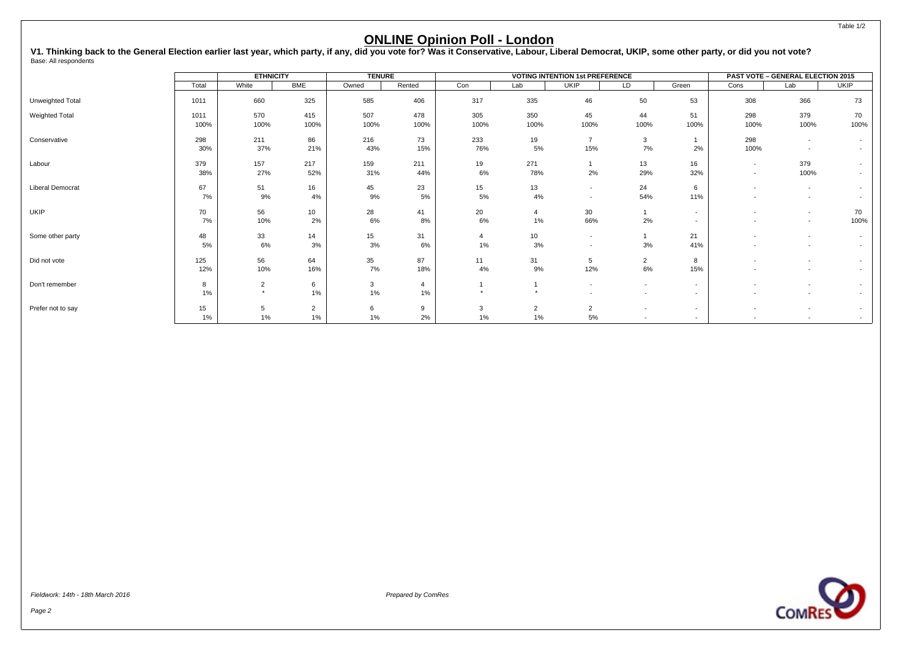V1. Thinking back to the General Election earlier last year, which party, if any, did you vote for? Was it Conservative, Labour, Liberal Democrat, UKIP, some other party, or did you not vote?<br><sub>Base: All respondents</sub>

|                         |              | <b>ETHNICITY</b>          |                      | <b>TENURE</b> |             |                      |                       | <b>VOTING INTENTION 1st PREFERENCE</b>               |                                    |                          |                                    | PAST VOTE - GENERAL ELECTION 2015                    |                          |
|-------------------------|--------------|---------------------------|----------------------|---------------|-------------|----------------------|-----------------------|------------------------------------------------------|------------------------------------|--------------------------|------------------------------------|------------------------------------------------------|--------------------------|
|                         | Total        | White                     | <b>BME</b>           | Owned         | Rented      | Con                  | Lab                   | <b>UKIP</b>                                          | LD                                 | Green                    | Cons                               | Lab                                                  | <b>UKIP</b>              |
| Unweighted Total        | 1011         | 660                       | 325                  | 585           | 406         | 317                  | 335                   | 46                                                   | 50                                 | 53                       | 308                                | 366                                                  | 73                       |
| Weighted Total          | 1011<br>100% | 570<br>100%               | 415<br>100%          | 507<br>100%   | 478<br>100% | 305<br>100%          | 350<br>100%           | 45<br>100%                                           | 44<br>100%                         | 51<br>100%               | 298<br>100%                        | 379<br>100%                                          | 70<br>100%               |
| Conservative            | 298<br>30%   | 211<br>37%                | 86<br>21%            | 216<br>43%    | 73<br>15%   | 233<br>76%           | 19<br>$5\%$           | $\overline{7}$<br>15%                                | 3<br>7%                            | 2%                       | 298<br>100%                        | $\overline{\phantom{a}}$                             | $\sim$                   |
| Labour                  | 379<br>38%   | 157<br>27%                | 217<br>52%           | 159<br>31%    | 211<br>44%  | 19<br>6%             | 271<br>78%            | 2%                                                   | 13<br>29%                          | 16<br>32%                | $\sim$<br>$\overline{\phantom{a}}$ | 379<br>100%                                          | $\overline{\phantom{a}}$ |
| <b>Liberal Democrat</b> | 67<br>7%     | 51<br>9%                  | 16<br>4%             | 45<br>9%      | 23<br>$5\%$ | 15<br>5%             | 13<br>4%              | $\overline{\phantom{a}}$<br>$\overline{\phantom{a}}$ | 24<br>54%                          | 6<br>11%                 |                                    | $\overline{\phantom{a}}$<br>$\sim$                   |                          |
| UKIP                    | 70<br>7%     | 56<br>10%                 | 10<br>2%             | 28<br>6%      | 41<br>8%    | 20<br>6%             | 1%                    | 30<br>66%                                            | 2%                                 | $\overline{a}$           | $\overline{\phantom{a}}$           | $\overline{\phantom{a}}$<br>$\overline{\phantom{a}}$ | 70<br>100%               |
| Some other party        | 48<br>5%     | 33<br>6%                  | 14<br>3%             | 15<br>3%      | 31<br>6%    | $\overline{4}$<br>1% | 10 <sup>1</sup><br>3% | $\overline{\phantom{a}}$<br>$\overline{\phantom{a}}$ | 3%                                 | 21<br>41%                |                                    | $\overline{\phantom{a}}$                             |                          |
| Did not vote            | 125<br>12%   | 56<br>10%                 | 64<br>16%            | 35<br>7%      | 87<br>18%   | 11<br>4%             | 31<br>9%              | 5<br>12%                                             | $\overline{2}$<br>6%               | 8<br>15%                 |                                    |                                                      |                          |
| Don't remember          | 8<br>1%      | $\overline{2}$<br>$\star$ | 6<br>1%              | 3<br>1%       | 4<br>$1\%$  |                      | $\star$               |                                                      | $\sim$<br>$\overline{\phantom{a}}$ | $\sim$<br>$\sim$         |                                    | $\overline{\phantom{a}}$                             |                          |
| Prefer not to say       | 15<br>1%     | 5<br>1%                   | $\overline{2}$<br>1% | 6<br>1%       | 9<br>2%     | 3<br>1%              | $\overline{2}$<br>1%  | 2<br>5%                                              | $\sim$<br>$\sim$                   | $\sim$<br>$\overline{a}$ | $\overline{\phantom{a}}$           | $\overline{\phantom{a}}$                             | $\sim$                   |

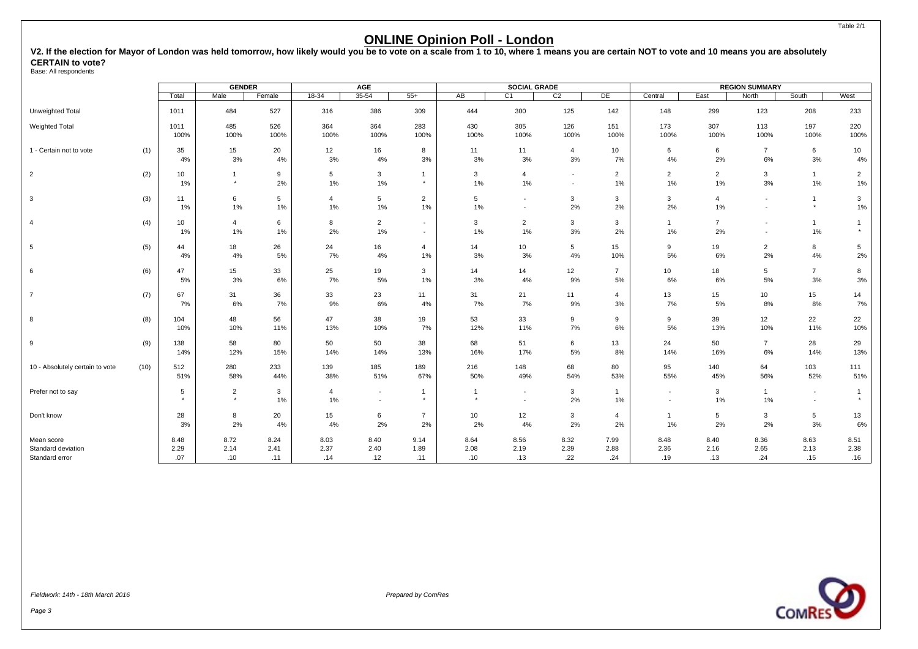<span id="page-4-0"></span>**V2. If the election for Mayor of London was held tomorrow, how likely would you be to vote on a scale from 1 to 10, where 1 means you are certain NOT to vote and 10 means you are absolutely CERTAIN to vote?**

Base: All respondents

|                                                    |      |                     | <b>GENDER</b>             |                     |                         | <b>AGE</b>                                 |                          |                     | <b>SOCIAL GRADE</b>                                  |                                    |                         |                                    |                         | <b>REGION SUMMARY</b>                                |                                    |                         |
|----------------------------------------------------|------|---------------------|---------------------------|---------------------|-------------------------|--------------------------------------------|--------------------------|---------------------|------------------------------------------------------|------------------------------------|-------------------------|------------------------------------|-------------------------|------------------------------------------------------|------------------------------------|-------------------------|
|                                                    |      | Total               | Male                      | Female              | $18-34$                 | $35 - 54$                                  | $55+$                    | AB                  | C1                                                   | C <sub>2</sub>                     | DE                      | Central                            | East                    | North                                                | South                              | West                    |
| Unweighted Total                                   |      | 1011                | 484                       | 527                 | 316                     | 386                                        | 309                      | 444                 | 300                                                  | 125                                | 142                     | 148                                | 299                     | 123                                                  | 208                                | 233                     |
| <b>Weighted Total</b>                              |      | 1011<br>100%        | 485<br>100%               | 526<br>100%         | 364<br>100%             | 364<br>100%                                | 283<br>100%              | 430<br>100%         | 305<br>100%                                          | 126<br>100%                        | 151<br>100%             | 173<br>100%                        | 307<br>100%             | 113<br>100%                                          | 197<br>100%                        | 220<br>100%             |
| 1 - Certain not to vote                            | (1)  | 35<br>4%            | 15<br>3%                  | 20<br>4%            | 12<br>3%                | 16<br>4%                                   | 8<br>3%                  | 11<br>3%            | 11<br>3%                                             | $\overline{4}$<br>3%               | 10<br>7%                | 6<br>4%                            | 6<br>2%                 | $\overline{7}$<br>6%                                 | 6<br>3%                            | 10<br>4%                |
| $\overline{2}$                                     | (2)  | 10<br>1%            | $\mathbf{1}$<br>$\star$   | 9<br>2%             | 5<br>$1\%$              | 3<br>$1\%$                                 | $\mathbf{1}$<br>$^\star$ | 3<br>1%             | $\overline{4}$<br>1%                                 | $\sim$<br>$\overline{\phantom{a}}$ | $\overline{2}$<br>$1\%$ | $\overline{2}$<br>1%               | $\overline{2}$<br>$1\%$ | $\mathbf{3}$<br>$3%$                                 | $\mathbf{1}$<br>$1\%$              | $\overline{2}$<br>$1\%$ |
| 3                                                  | (3)  | 11<br>1%            | 6<br>1%                   | 5<br>1%             | $\overline{4}$<br>$1\%$ | 5<br>$1\%$                                 | $\overline{2}$<br>1%     | 5<br>1%             | $\overline{\phantom{a}}$<br>$\overline{\phantom{a}}$ | 3<br>2%                            | 3<br>2%                 | 3<br>2%                            | $\overline{4}$<br>1%    | $\overline{\phantom{a}}$<br>$\overline{\phantom{a}}$ | $\overline{1}$<br>$^\star$         | 3<br>1%                 |
| $\overline{4}$                                     | (4)  | 10<br>1%            | 4<br>1%                   | 6<br>1%             | 8<br>2%                 | $\overline{2}$<br>$1\%$                    | $\sim$<br>$\sim$         | 3<br>1%             | $\overline{2}$<br>1%                                 | 3<br>3%                            | 3<br>2%                 | $\overline{1}$<br>1%               | $\overline{7}$<br>2%    | $\blacksquare$<br>$\sim$                             | $\mathbf{1}$<br>1%                 | $\mathbf{1}$<br>$\star$ |
| 5                                                  | (5)  | 44<br>4%            | 18<br>4%                  | 26<br>$5\%$         | 24<br>7%                | 16<br>4%                                   | $\overline{4}$<br>1%     | 14<br>3%            | 10<br>3%                                             | 5<br>4%                            | 15<br>10%               | 9<br>5%                            | 19<br>6%                | $\overline{2}$<br>2%                                 | 8<br>4%                            | $5\overline{)}$<br>2%   |
| 6                                                  | (6)  | 47<br>5%            | 15<br>3%                  | 33<br>6%            | 25<br>7%                | 19<br>5%                                   | 3<br>1%                  | 14<br>3%            | 14<br>4%                                             | 12<br>9%                           | $\overline{7}$<br>5%    | 10<br>6%                           | 18<br>6%                | 5<br>5%                                              | $\overline{7}$<br>3%               | 8<br>3%                 |
| $\overline{7}$                                     | (7)  | 67<br>7%            | 31<br>6%                  | 36<br>7%            | 33<br>9%                | 23<br>6%                                   | 11<br>4%                 | 31<br>7%            | 21<br>7%                                             | 11<br>9%                           | $\overline{4}$<br>3%    | 13<br>7%                           | 15<br>5%                | 10<br>8%                                             | 15<br>8%                           | 14<br>7%                |
| 8                                                  | (8)  | 104<br>10%          | 48<br>10%                 | 56<br>11%           | 47<br>13%               | 38<br>10%                                  | 19<br>7%                 | 53<br>12%           | 33<br>11%                                            | 9<br>7%                            | 9<br>6%                 | 9<br>5%                            | 39<br>13%               | 12<br>10%                                            | 22<br>11%                          | 22<br>10%               |
| 9                                                  | (9)  | 138<br>14%          | 58<br>12%                 | 80<br>15%           | 50<br>14%               | 50<br>14%                                  | 38<br>13%                | 68<br>16%           | 51<br>17%                                            | 6<br>5%                            | 13<br>8%                | 24<br>14%                          | 50<br>16%               | $\overline{7}$<br>6%                                 | 28<br>14%                          | 29<br>13%               |
| 10 - Absolutely certain to vote                    | (10) | 512<br>51%          | 280<br>58%                | 233<br>44%          | 139<br>38%              | 185<br>51%                                 | 189<br>67%               | 216<br>50%          | 148<br>49%                                           | 68<br>54%                          | 80<br>53%               | 95<br>55%                          | 140<br>45%              | 64<br>56%                                            | 103<br>52%                         | 111<br>51%              |
| Prefer not to say                                  |      | 5<br>$\star$        | $\overline{2}$<br>$\star$ | 3<br>1%             | $\overline{4}$<br>$1\%$ | $\overline{\phantom{a}}$<br>$\overline{a}$ | $\mathbf{1}$<br>$\star$  | $\star$             | $\overline{\phantom{a}}$<br>$\overline{\phantom{a}}$ | $\mathbf{3}$<br>2%                 | $\mathbf{1}$<br>$1\%$   | $\overline{\phantom{a}}$<br>$\sim$ | $\mathbf{3}$<br>$1\%$   | $\mathbf{1}$<br>1%                                   | $\overline{\phantom{a}}$<br>$\sim$ | $\mathbf{1}$<br>$\star$ |
| Don't know                                         |      | 28<br>3%            | 8<br>2%                   | 20<br>$4\%$         | 15<br>4%                | 6<br>2%                                    | $\overline{7}$<br>2%     | 10<br>2%            | 12<br>4%                                             | 3<br>2%                            | $\overline{4}$<br>2%    | 1%                                 | 5<br>2%                 | 3<br>2%                                              | 5<br>3%                            | 13<br>$6\%$             |
| Mean score<br>Standard deviation<br>Standard error |      | 8.48<br>2.29<br>.07 | 8.72<br>2.14<br>.10       | 8.24<br>2.41<br>.11 | 8.03<br>2.37<br>.14     | 8.40<br>2.40<br>.12                        | 9.14<br>1.89<br>.11      | 8.64<br>2.08<br>.10 | 8.56<br>2.19<br>.13                                  | 8.32<br>2.39<br>.22                | 7.99<br>2.88<br>.24     | 8.48<br>2.36<br>.19                | 8.40<br>2.16<br>.13     | 8.36<br>2.65<br>.24                                  | 8.63<br>2.13<br>.15                | 8.51<br>2.38<br>.16     |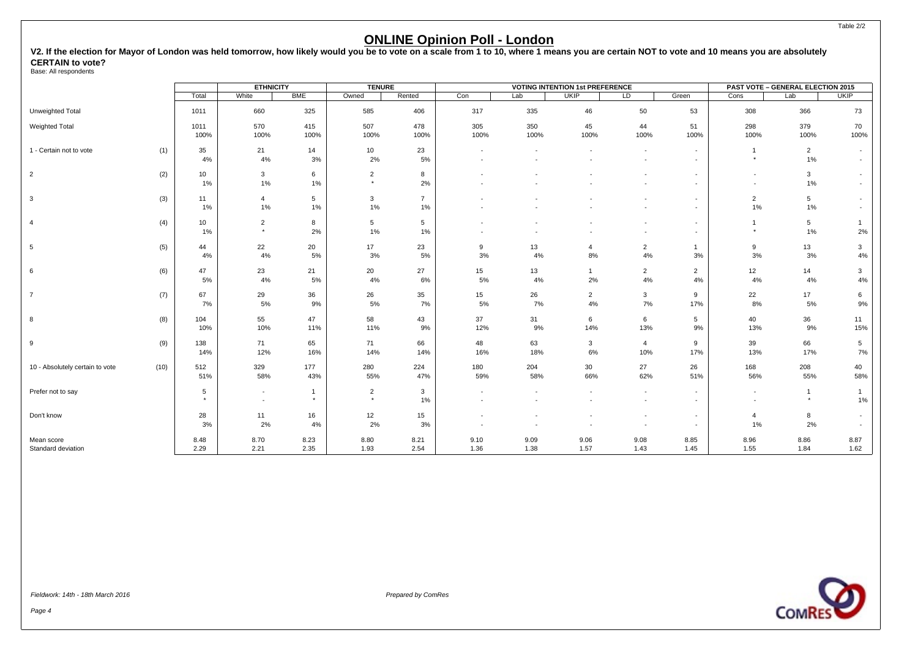#### Table 2/2

#### **ONLINE Opinion Poll - London**

**V2. If the election for Mayor of London was held tomorrow, how likely would you be to vote on a scale from 1 to 10, where 1 means you are certain NOT to vote and 10 means you are absolutely CERTAIN to vote?**

Base: All respondents

|                                 |      |            | <b>ETHNICITY</b>         |                | <b>TENURE</b>             |                |                          |                          | <b>VOTING INTENTION 1st PREFERENCE</b> |                          |                          |                          | <b>PAST VOTE - GENERAL ELECTION 2015</b> |             |
|---------------------------------|------|------------|--------------------------|----------------|---------------------------|----------------|--------------------------|--------------------------|----------------------------------------|--------------------------|--------------------------|--------------------------|------------------------------------------|-------------|
|                                 |      | Total      | White                    | <b>BME</b>     | Owned                     | Rented         | Con                      | Lab                      | <b>UKIP</b>                            | LD                       | Green                    | Cons                     | Lab                                      | <b>UKIP</b> |
| Unweighted Total                |      | 1011       | 660                      | 325            | 585                       | 406            | 317                      | 335                      | 46                                     | 50                       | 53                       | 308                      | 366                                      | 73          |
| Weighted Total                  |      | 1011       | 570                      | 415            | 507                       | 478            | 305                      | 350                      | 45                                     | 44                       | 51                       | 298                      | 379                                      | 70          |
|                                 |      | 100%       | 100%                     | 100%           | 100%                      | 100%           | 100%                     | 100%                     | 100%                                   | 100%                     | 100%                     | 100%                     | 100%                                     | 100%        |
| 1 - Certain not to vote         | (1)  | 35         | 21                       | 14             | 10 <sub>1</sub>           | 23             | $\overline{\phantom{a}}$ | $\overline{\phantom{a}}$ |                                        | $\overline{\phantom{a}}$ | $\overline{\phantom{a}}$ | $\overline{1}$           | $\overline{2}$                           |             |
|                                 |      | 4%         | 4%                       | 3%             | 2%                        | 5%             |                          |                          |                                        | $\overline{\phantom{a}}$ | $\sim$                   | $\star$                  | $1\%$                                    |             |
|                                 |      |            |                          |                |                           |                |                          |                          |                                        |                          |                          |                          |                                          |             |
| $\overline{2}$                  | (2)  | 10<br>1%   | $\mathbf{3}$<br>1%       | 6<br>1%        | $\overline{2}$<br>$\star$ | 8<br>2%        |                          |                          |                                        | $\blacksquare$           | $\overline{\phantom{a}}$ | $\overline{\phantom{a}}$ | $\mathbf{3}$<br>1%                       |             |
|                                 |      |            |                          |                |                           |                |                          |                          |                                        |                          | $\overline{\phantom{a}}$ | $\overline{\phantom{a}}$ |                                          |             |
| 3                               | (3)  | 11         | $\overline{4}$           | 5              | $\mathbf{3}$              | $\overline{7}$ |                          |                          |                                        |                          | $\overline{\phantom{a}}$ | $\overline{2}$           | $5\phantom{.0}$                          |             |
|                                 |      | 1%         | $1\%$                    | 1%             | 1%                        | $1\%$          |                          |                          |                                        |                          | $\overline{\phantom{a}}$ | 1%                       | $1\%$                                    |             |
| $\overline{4}$                  | (4)  | 10         | $\overline{2}$           | 8              | 5                         | 5              |                          |                          |                                        |                          | $\overline{\phantom{a}}$ | $\mathbf{1}$             | 5                                        |             |
|                                 |      | 1%         | $\star$                  | 2%             | 1%                        | 1%             |                          |                          |                                        | $\overline{\phantom{a}}$ | $\sim$                   | $\star$                  | 1%                                       | 2%          |
| $5\phantom{.0}$                 | (5)  | 44         | 22                       | 20             | 17                        | 23             | 9                        | 13                       | 4                                      | $\overline{2}$           | $\mathbf{1}$             | 9                        | 13                                       | 3           |
|                                 |      | 4%         | 4%                       | 5%             | 3%                        | 5%             | 3%                       | 4%                       | 8%                                     | 4%                       | 3%                       | 3%                       | 3%                                       | 4%          |
|                                 |      |            |                          |                |                           |                |                          |                          |                                        |                          |                          |                          |                                          |             |
| 6                               | (6)  | 47         | 23                       | 21             | 20                        | 27             | 15                       | 13                       | $\mathbf{1}$                           | $\overline{2}$           | $\overline{2}$           | 12                       | 14                                       | 3           |
|                                 |      | $5\%$      | 4%                       | $5\%$          | 4%                        | $6\%$          | 5%                       | 4%                       | 2%                                     | 4%                       | 4%                       | 4%                       | 4%                                       | 4%          |
| $\overline{7}$                  | (7)  | 67         | 29                       | 36             | 26                        | 35             | 15                       | 26                       | $\overline{2}$                         | 3                        | 9                        | 22                       | 17                                       | 6           |
|                                 |      | 7%         | 5%                       | 9%             | 5%                        | 7%             | 5%                       | 7%                       | $4\%$                                  | 7%                       | 17%                      | 8%                       | 5%                                       | 9%          |
| 8                               | (8)  | 104        | 55                       | 47             | 58                        | 43             | 37                       | 31                       | 6                                      | 6                        | $5\phantom{.0}$          | 40                       | 36                                       | 11          |
|                                 |      | 10%        | 10%                      | 11%            | 11%                       | 9%             | 12%                      | 9%                       | 14%                                    | 13%                      | 9%                       | 13%                      | 9%                                       | 15%         |
| 9                               | (9)  | 138        | 71                       | 65             | 71                        | 66             | 48                       | 63                       | 3                                      | $\overline{4}$           | 9                        | 39                       | 66                                       | 5           |
|                                 |      | 14%        | 12%                      | 16%            | 14%                       | 14%            | 16%                      | 18%                      | 6%                                     | 10%                      | 17%                      | 13%                      | 17%                                      | 7%          |
|                                 |      |            |                          |                |                           |                |                          |                          |                                        |                          |                          |                          |                                          |             |
| 10 - Absolutely certain to vote | (10) | 512<br>51% | 329<br>58%               | 177<br>43%     | 280<br>55%                | 224<br>47%     | 180<br>59%               | 204<br>58%               | 30<br>66%                              | 27<br>62%                | 26<br>51%                | 168<br>56%               | 208<br>55%                               | 40<br>58%   |
|                                 |      |            |                          |                |                           |                |                          |                          |                                        |                          |                          |                          |                                          |             |
| Prefer not to say               |      | 5          | $\overline{\phantom{a}}$ | $\overline{1}$ | $\overline{2}$            | 3              |                          |                          |                                        | $\overline{\phantom{a}}$ | $\overline{a}$           | $\sim$                   | $\mathbf{1}$                             | -1          |
|                                 |      | $\star$    | $\overline{\phantom{a}}$ | $\star$        | $\star$                   | $1\%$          |                          |                          |                                        | $\overline{\phantom{a}}$ | $\overline{\phantom{a}}$ |                          |                                          | 1%          |
| Don't know                      |      | 28         | 11                       | 16             | 12                        | 15             |                          |                          |                                        | $\overline{\phantom{a}}$ | $\overline{\phantom{a}}$ | $\overline{4}$           | 8                                        |             |
|                                 |      | 3%         | 2%                       | 4%             | 2%                        | 3%             |                          |                          |                                        |                          | $\sim$                   | 1%                       | 2%                                       |             |
| Mean score                      |      | 8.48       | 8.70                     | 8.23           | 8.80                      | 8.21           | 9.10                     | 9.09                     | 9.06                                   | 9.08                     | 8.85                     | 8.96                     | 8.86                                     | 8.87        |
| Standard deviation              |      | 2.29       | 2.21                     | 2.35           | 1.93                      | 2.54           | 1.36                     | 1.38                     | 1.57                                   | 1.43                     | 1.45                     | 1.55                     | 1.84                                     | 1.62        |
|                                 |      |            |                          |                |                           |                |                          |                          |                                        |                          |                          |                          |                                          |             |

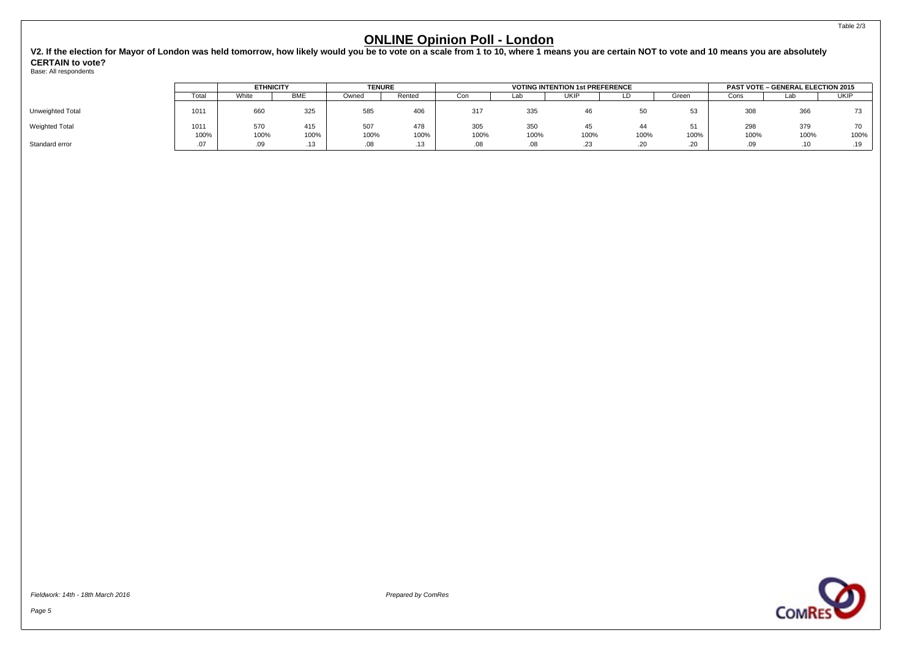**V2. If the election for Mayor of London was held tomorrow, how likely would you be to vote on a scale from 1 to 10, where 1 means you are certain NOT to vote and 10 means you are absolutely CERTAIN to vote?**

Base: All respondents

|                       |               | <b>ETHNICITY</b> |             | <b>TENURE</b> |             |             |             | <b>VOTING INTENTION 1st PREFERENCE</b> |            |                |             | <b>PAST VOTE - GENERAL ELECTION 2015</b> |             |
|-----------------------|---------------|------------------|-------------|---------------|-------------|-------------|-------------|----------------------------------------|------------|----------------|-------------|------------------------------------------|-------------|
|                       | Total         | White            | <b>BME</b>  | Owned         | Rented      | Con         | Lab         | UKIP                                   | ∟D⊹        | Green          | Cons        | Lab                                      | <b>UKIP</b> |
| Unweighted Total      | 1011          | 660              | 325         | 585           | 406         | 317         | 335         |                                        | 50         |                | 308         | 366                                      | 73          |
| <b>Weighted Total</b> | 1011<br>100%  | 570<br>100%      | 415<br>100% | 507<br>100%   | 478<br>100% | 305<br>100% | 350<br>100% | 100%                                   | 44<br>100% | 100%           | 298<br>100% | 379<br>100%                              | 70<br>100%  |
| Standard error        | $\sim$<br>.07 | .09              | د ا.        | .08           | 12<br>ه ۱.  |             | .08         | .23                                    | .20        | $\sim$<br>ں ے. | .09         | .                                        | .19         |

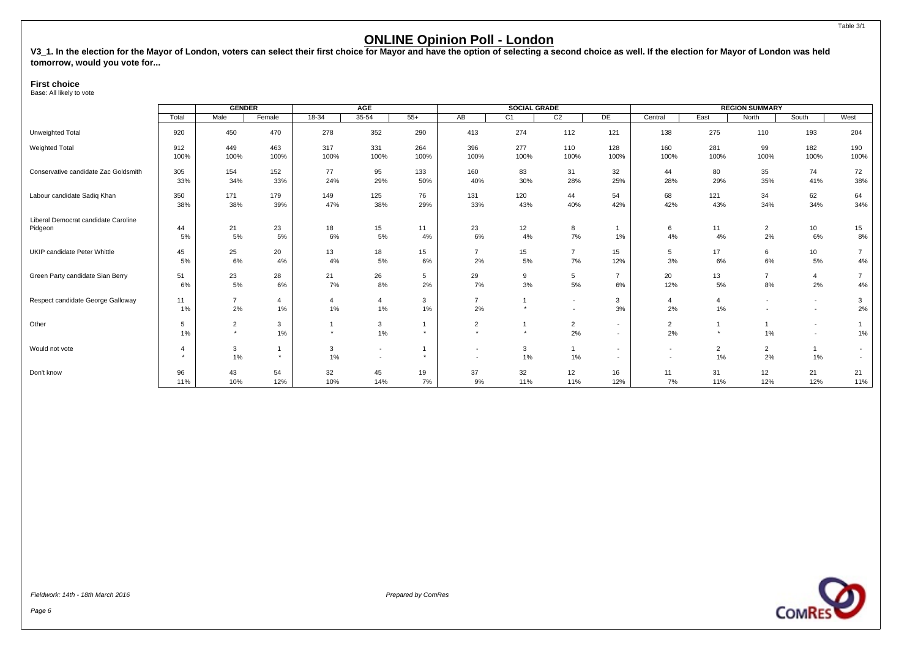<span id="page-7-0"></span>V3\_1. In the election for the Mayor of London, voters can select their first choice for Mayor and have the option of selecting a second choice as well. If the election for Mayor of London was held **tomorrow, would you vote for...**

#### **First choice**

Base: All likely to vote

|                                      |                                 | <b>GENDER</b>             |                           |            | AGE                                        |         |                                                      | <b>SOCIAL GRADE</b> |                                                      |                                                      |                          |                      | <b>REGION SUMMARY</b>    |                                            |                |
|--------------------------------------|---------------------------------|---------------------------|---------------------------|------------|--------------------------------------------|---------|------------------------------------------------------|---------------------|------------------------------------------------------|------------------------------------------------------|--------------------------|----------------------|--------------------------|--------------------------------------------|----------------|
|                                      | Total                           | Male                      | Female                    | $18-34$    | $35 - 54$                                  | $55+$   | AB                                                   | C <sub>1</sub>      | C <sub>2</sub>                                       | DE                                                   | Central                  | East                 | North                    | South                                      | West           |
| Unweighted Total                     | 920                             | 450                       | 470                       | 278        | 352                                        | 290     | 413                                                  | 274                 | 112                                                  | 121                                                  | 138                      | 275                  | 110                      | 193                                        | 204            |
| Weighted Total                       | 912                             | 449                       | 463                       | 317        | 331                                        | 264     | 396                                                  | 277                 | 110                                                  | 128                                                  | 160                      | 281                  | 99                       | 182                                        | 190            |
|                                      | 100%                            | 100%                      | 100%                      | 100%       | 100%                                       | 100%    | 100%                                                 | 100%                | 100%                                                 | 100%                                                 | 100%                     | 100%                 | 100%                     | 100%                                       | 100%           |
| Conservative candidate Zac Goldsmith | 305                             | 154                       | 152                       | 77         | 95                                         | 133     | 160                                                  | 83                  | 31                                                   | 32                                                   | 44                       | 80                   | 35                       | 74                                         | 72             |
|                                      | 33%                             | 34%                       | 33%                       | 24%        | 29%                                        | 50%     | 40%                                                  | 30%                 | 28%                                                  | 25%                                                  | 28%                      | 29%                  | 35%                      | 41%                                        | 38%            |
| Labour candidate Sadiq Khan          | 350                             | 171                       | 179                       | 149        | 125                                        | 76      | 131                                                  | 120                 | 44                                                   | 54                                                   | 68                       | 121                  | 34                       | 62                                         | 64             |
|                                      | 38%                             | 38%                       | 39%                       | 47%        | 38%                                        | 29%     | 33%                                                  | 43%                 | 40%                                                  | 42%                                                  | 42%                      | 43%                  | 34%                      | 34%                                        | 34%            |
| Liberal Democrat candidate Caroline  | 44                              | 21                        | 23                        | 18         | 15                                         | 11      | 23                                                   | 12                  | 8                                                    | 1%                                                   | 6                        | 11                   | $\overline{2}$           | 10                                         | 15             |
| Pidgeon                              | 5%                              | 5%                        | 5%                        | 6%         | 5%                                         | 4%      | 6%                                                   | 4%                  | 7%                                                   |                                                      | 4%                       | 4%                   | 2%                       | 6%                                         | 8%             |
| UKIP candidate Peter Whittle         | 45                              | 25                        | 20                        | 13         | 18                                         | 15      | $\overline{7}$                                       | 15                  | $\overline{7}$                                       | 15                                                   | 5                        | 17                   | 6                        | 10                                         | $\overline{7}$ |
|                                      | 5%                              | 6%                        | 4%                        | 4%         | 5%                                         | 6%      | 2%                                                   | $5\%$               | 7%                                                   | 12%                                                  | 3%                       | 6%                   | 6%                       | 5%                                         | 4%             |
| Green Party candidate Sian Berry     | 51                              | 23                        | 28                        | 21         | 26                                         | 5       | 29                                                   | 9                   | 5                                                    | $\overline{7}$                                       | 20                       | 13                   | $\overline{7}$           | $\overline{4}$                             | $\overline{7}$ |
|                                      | 6%                              | 5%                        | 6%                        | 7%         | 8%                                         | 2%      | 7%                                                   | 3%                  | 5%                                                   | 6%                                                   | 12%                      | 5%                   | 8%                       | 2%                                         | 4%             |
| Respect candidate George Galloway    | 11<br>1%                        | $\overline{7}$<br>2%      | $\overline{4}$<br>$1\%$   | 4<br>$1\%$ | $\overline{4}$<br>1%                       | 3<br>1% | $\overline{7}$<br>2%                                 | $\star$             | $\overline{\phantom{a}}$<br>$\overline{\phantom{a}}$ | 3<br>3%                                              | 4<br>2%                  | 4<br>1%              | $\overline{\phantom{a}}$ | $\overline{a}$<br>$\overline{\phantom{a}}$ | 3<br>2%        |
| Other                                | 5<br>1%                         | $\overline{2}$<br>$\star$ | 3<br>1%                   |            | $\mathbf{3}$<br>1%                         |         | $\overline{2}$<br>٠                                  | $\star$             | $\overline{c}$<br>2%                                 | $\overline{\phantom{a}}$<br>$\overline{\phantom{a}}$ | $\overline{2}$<br>2%     | $\star$              | 1%                       | $\overline{a}$<br>$\overline{\phantom{0}}$ | 1%             |
| Would not vote                       | $\overline{4}$<br>$\rightarrow$ | 3<br>1%                   | $\overline{1}$<br>$\star$ | 3<br>1%    | $\overline{\phantom{a}}$<br>$\blacksquare$ |         | $\overline{\phantom{a}}$<br>$\overline{\phantom{a}}$ | 3<br>$1\%$          | $\overline{1}$<br>1%                                 | $\overline{\phantom{a}}$<br>$\overline{\phantom{a}}$ | $\overline{\phantom{a}}$ | $\overline{2}$<br>1% | $\overline{2}$<br>2%     | 1%                                         | $\sim$         |
| Don't know                           | 96                              | 43                        | 54                        | 32         | 45                                         | 19      | 37                                                   | 32                  | 12                                                   | 16                                                   | 11                       | 31                   | 12                       | 21                                         | 21             |
|                                      | 11%                             | 10%                       | 12%                       | 10%        | 14%                                        | 7%      | 9%                                                   | 11%                 | 11%                                                  | 12%                                                  | 7%                       | 11%                  | 12%                      | 12%                                        | 11%            |



Table 3/1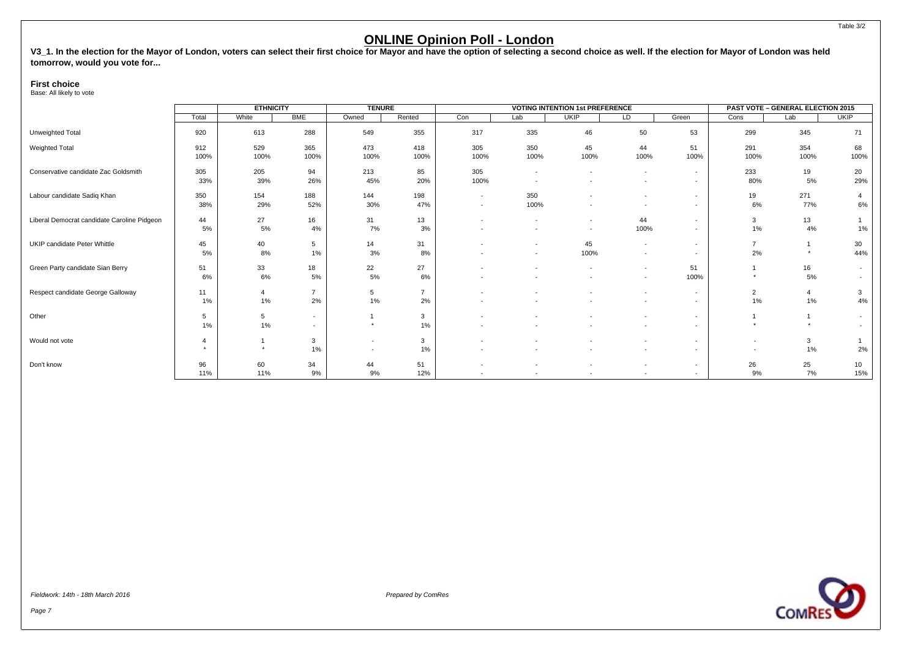V3\_1. In the election for the Mayor of London, voters can select their first choice for Mayor and have the option of selecting a second choice as well. If the election for Mayor of London was held **tomorrow, would you vote for...**

#### **First choice**

Base: All likely to vote

|                                             |              | <b>ETHNICITY</b> |                                            | <b>TENURE</b>                                        |                      |                                                      |                                                      | <b>VOTING INTENTION 1st PREFERENCE</b> |                                                      |                                                      |                                                      | <b>PAST VOTE - GENERAL ELECTION 2015</b> |                      |
|---------------------------------------------|--------------|------------------|--------------------------------------------|------------------------------------------------------|----------------------|------------------------------------------------------|------------------------------------------------------|----------------------------------------|------------------------------------------------------|------------------------------------------------------|------------------------------------------------------|------------------------------------------|----------------------|
|                                             | Total        | White            | <b>BME</b>                                 | Owned                                                | Rented               | Con                                                  | Lab                                                  | <b>UKIP</b>                            | LD                                                   | Green                                                | Cons                                                 | Lab                                      | <b>UKIP</b>          |
| Unweighted Total                            | 920          | 613              | 288                                        | 549                                                  | 355                  | 317                                                  | 335                                                  | 46                                     | 50                                                   | 53                                                   | 299                                                  | 345                                      | 71                   |
| Weighted Total                              | 912<br>100%  | 529<br>100%      | 365<br>100%                                | 473<br>100%                                          | 418<br>100%          | 305<br>100%                                          | 350<br>100%                                          | 45<br>100%                             | 44<br>100%                                           | 51<br>100%                                           | 291<br>100%                                          | 354<br>100%                              | 68<br>100%           |
| Conservative candidate Zac Goldsmith        | 305<br>33%   | 205<br>39%       | 94<br>26%                                  | 213<br>45%                                           | 85<br>20%            | 305<br>100%                                          | $\overline{\phantom{a}}$<br>$\overline{\phantom{a}}$ | $\overline{\phantom{a}}$               | $\sim$<br>$\overline{a}$                             | $\sim$<br>$\overline{\phantom{a}}$                   | 233<br>80%                                           | 19<br>5%                                 | 20<br>29%            |
| Labour candidate Sadiq Khan                 | 350<br>38%   | 154<br>29%       | 188<br>52%                                 | 144<br>30%                                           | 198<br>47%           | $\overline{\phantom{a}}$<br>$\overline{\phantom{a}}$ | 350<br>100%                                          |                                        | $\overline{a}$<br>$\overline{\phantom{a}}$           | $\overline{\phantom{a}}$<br>$\sim$                   | 19<br>6%                                             | 271<br>77%                               | $\overline{4}$<br>6% |
| Liberal Democrat candidate Caroline Pidgeon | 44<br>5%     | 27<br>5%         | 16<br>4%                                   | 31<br>7%                                             | 13<br>3%             |                                                      | $\overline{\phantom{a}}$<br>$\overline{\phantom{a}}$ | $\sim$                                 | 44<br>100%                                           | $\sim$                                               | 3<br>1%                                              | 13<br>4%                                 | 1%                   |
| UKIP candidate Peter Whittle                | 45<br>5%     | 40<br>8%         | 5<br>$1\%$                                 | 14<br>3%                                             | 31<br>8%             |                                                      | $\overline{\phantom{a}}$<br>$\overline{\phantom{a}}$ | 45<br>100%                             | $\sim$<br>$\overline{\phantom{a}}$                   | $\overline{\phantom{a}}$<br>$\overline{\phantom{a}}$ | $\overline{7}$<br>2%                                 |                                          | 30<br>44%            |
| Green Party candidate Sian Berry            | 51<br>6%     | 33<br>6%         | 18<br>5%                                   | 22<br>5%                                             | 27<br>6%             |                                                      | $\overline{\phantom{a}}$                             |                                        | $\overline{\phantom{a}}$<br>$\sim$                   | 51<br>100%                                           |                                                      | 16<br>5%                                 | $\sim$               |
| Respect candidate George Galloway           | 11<br>1%     | $1\%$            | $\overline{ }$<br>2%                       | 5<br>$1\%$                                           | $\overline{7}$<br>2% | ٠<br>٠                                               | $\overline{\phantom{a}}$                             |                                        | $\overline{\phantom{a}}$<br>$\overline{\phantom{a}}$ | $\overline{\phantom{a}}$<br>$\sim$                   | $\overline{2}$<br>1%                                 | $1\%$                                    | 3<br>4%              |
| Other                                       | 5<br>1%      | 5<br>$1\%$       | $\overline{\phantom{a}}$<br>$\overline{a}$ | $\star$                                              | 3<br>1%              |                                                      |                                                      |                                        | $\sim$                                               | $\overline{\phantom{a}}$                             | $\ddot{}$                                            |                                          |                      |
| Would not vote                              | 4<br>$\star$ |                  | 3<br>1%                                    | $\overline{\phantom{a}}$<br>$\overline{\phantom{a}}$ | 3<br>1%              | ٠                                                    |                                                      |                                        | $\overline{a}$<br>$\sim$                             | $\overline{\phantom{a}}$<br>$\sim$                   | $\overline{\phantom{a}}$<br>$\overline{\phantom{a}}$ | 3<br>$1\%$                               | 2%                   |
| Don't know                                  | 96<br>11%    | 60<br>11%        | 34<br>9%                                   | 44<br>9%                                             | 51<br>12%            | $\overline{\phantom{a}}$                             | $\overline{\phantom{a}}$                             |                                        | $\overline{\phantom{a}}$<br>$\overline{\phantom{a}}$ | $\overline{\phantom{a}}$                             | 26<br>9%                                             | 25<br>7%                                 | 10<br>15%            |

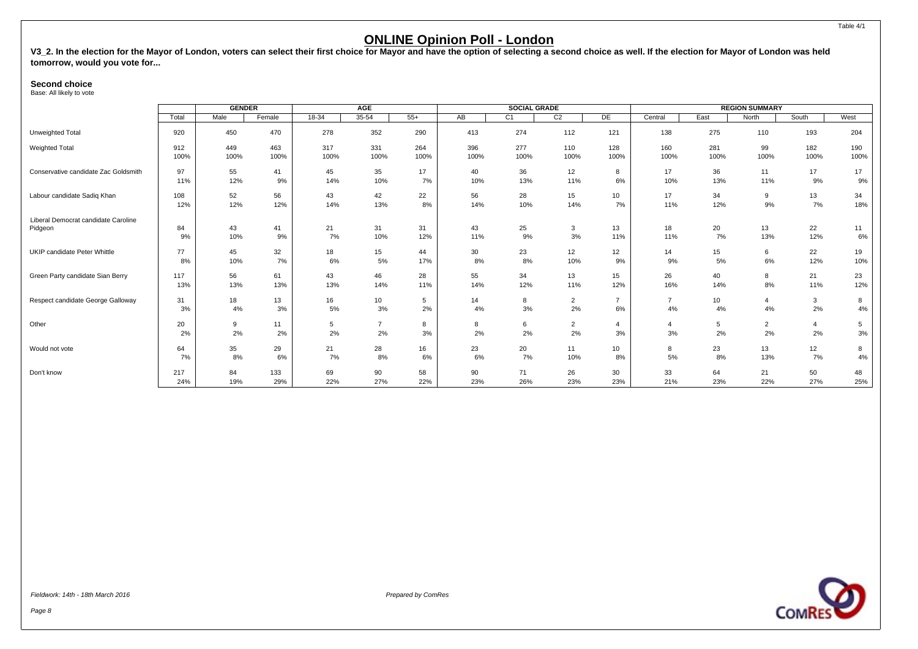<span id="page-9-0"></span>V3\_2. In the election for the Mayor of London, voters can select their first choice for Mayor and have the option of selecting a second choice as well. If the election for Mayor of London was held **tomorrow, would you vote for...**

#### **Second choice**

Base: All likely to vote

|                                      |       | <b>GENDER</b> |        |         | AGE            |       |      | <b>SOCIAL GRADE</b> |                |                |                |      | <b>REGION SUMMARY</b> |                |      |
|--------------------------------------|-------|---------------|--------|---------|----------------|-------|------|---------------------|----------------|----------------|----------------|------|-----------------------|----------------|------|
|                                      | Total | Male          | Female | $18-34$ | $35 - 54$      | $55+$ | AB   | C <sub>1</sub>      | C2             | DE             | Central        | East | North                 | South          | West |
| Unweighted Total                     | 920   | 450           | 470    | 278     | 352            | 290   | 413  | 274                 | 112            | 121            | 138            | 275  | 110                   | 193            | 204  |
| Weighted Total                       | 912   | 449           | 463    | 317     | 331            | 264   | 396  | 277                 | 110            | 128            | 160            | 281  | 99                    | 182            | 190  |
|                                      | 100%  | 100%          | 100%   | 100%    | 100%           | 100%  | 100% | 100%                | 100%           | 100%           | 100%           | 100% | 100%                  | 100%           | 100% |
| Conservative candidate Zac Goldsmith | 97    | 55            | 41     | 45      | 35             | 17    | 40   | 36                  | 12             | 8              | 17             | 36   | 11                    | 17             | 17   |
|                                      | 11%   | 12%           | 9%     | 14%     | 10%            | 7%    | 10%  | 13%                 | 11%            | 6%             | 10%            | 13%  | 11%                   | 9%             | 9%   |
| Labour candidate Sadiq Khan          | 108   | 52            | 56     | 43      | 42             | 22    | 56   | 28                  | 15             | 10             | 17             | 34   | 9                     | 13             | 34   |
|                                      | 12%   | 12%           | 12%    | 14%     | 13%            | 8%    | 14%  | 10%                 | 14%            | 7%             | 11%            | 12%  | 9%                    | 7%             | 18%  |
| Liberal Democrat candidate Caroline  |       |               |        |         |                |       |      |                     |                |                |                |      |                       |                |      |
| Pidgeon                              | 84    | 43            | 41     | 21      | 31             | 31    | 43   | 25                  | $\mathbf{3}$   | 13             | 18             | 20   | 13                    | 22             | 11   |
|                                      | 9%    | 10%           | 9%     | 7%      | 10%            | 12%   | 11%  | 9%                  | 3%             | 11%            | 11%            | 7%   | 13%                   | 12%            | 6%   |
| UKIP candidate Peter Whittle         | 77    | 45            | 32     | 18      | 15             | 44    | 30   | 23                  | 12             | 12             | 14             | 15   | 6                     | 22             | 19   |
|                                      | 8%    | 10%           | 7%     | 6%      | 5%             | 17%   | 8%   | 8%                  | 10%            | 9%             | 9%             | 5%   | 6%                    | 12%            | 10%  |
| Green Party candidate Sian Berry     | 117   | 56            | 61     | 43      | 46             | 28    | 55   | 34                  | 13             | 15             | 26             | 40   | 8                     | 21             | 23   |
|                                      | 13%   | 13%           | 13%    | 13%     | 14%            | 11%   | 14%  | 12%                 | 11%            | 12%            | 16%            | 14%  | 8%                    | 11%            | 12%  |
| Respect candidate George Galloway    | 31    | 18            | 13     | 16      | 10             | 5     | 14   | 8                   | $\overline{2}$ | $\overline{7}$ | $\overline{7}$ | 10   | 4                     | 3              | 8    |
|                                      | 3%    | 4%            | 3%     | 5%      | 3%             | 2%    | 4%   | 3%                  | 2%             | 6%             | 4%             | 4%   | 4%                    | 2%             | 4%   |
| Other                                | 20    | 9             | 11     | 5       | $\overline{7}$ | 8     | 8    | 6                   | $\overline{2}$ | $\overline{4}$ | $\overline{4}$ | 5    | $\overline{2}$        | $\overline{4}$ | 5    |
|                                      | 2%    | 2%            | 2%     | 2%      | 2%             | 3%    | 2%   | 2%                  | 2%             | 3%             | 3%             | 2%   | 2%                    | 2%             | 3%   |
| Would not vote                       | 64    | 35            | 29     | 21      | 28             | 16    | 23   | 20                  | 11             | 10             | 8              | 23   | 13                    | 12             | 8    |
|                                      | 7%    | 8%            | 6%     | 7%      | 8%             | 6%    | 6%   | 7%                  | 10%            | 8%             | 5%             | 8%   | 13%                   | 7%             | 4%   |
| Don't know                           | 217   | 84            | 133    | 69      | 90             | 58    | 90   | 71                  | 26             | 30             | 33             | 64   | 21                    | 50             | 48   |
|                                      | 24%   | 19%           | 29%    | 22%     | 27%            | 22%   | 23%  | 26%                 | 23%            | 23%            | 21%            | 23%  | 22%                   | 27%            | 25%  |

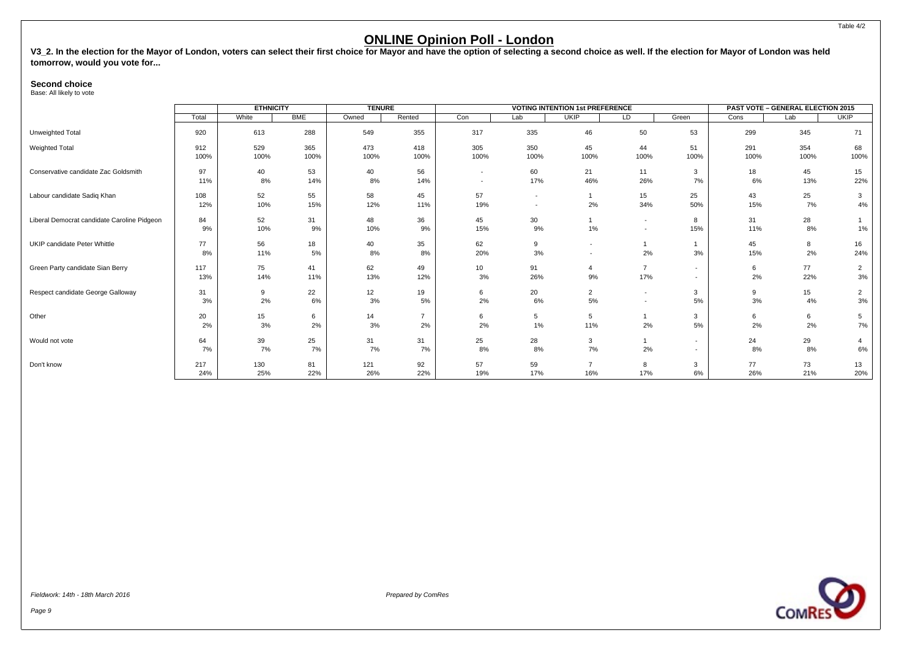V3\_2. In the election for the Mayor of London, voters can select their first choice for Mayor and have the option of selecting a second choice as well. If the election for Mayor of London was held **tomorrow, would you vote for...**

#### **Second choice**

Base: All likely to vote

|                                             |             | <b>ETHNICITY</b> |             | <b>TENURE</b> |                      |                                                      |                                                      | <b>VOTING INTENTION 1st PREFERENCE</b> |                                                      |                                                      |             | <b>PAST VOTE - GENERAL ELECTION 2015</b> |                      |
|---------------------------------------------|-------------|------------------|-------------|---------------|----------------------|------------------------------------------------------|------------------------------------------------------|----------------------------------------|------------------------------------------------------|------------------------------------------------------|-------------|------------------------------------------|----------------------|
|                                             | Total       | White            | <b>BME</b>  | Owned         | Rented               | Con                                                  | Lab                                                  | <b>UKIP</b>                            | LD                                                   | Green                                                | Cons        | Lab                                      | <b>UKIP</b>          |
| Unweighted Total                            | 920         | 613              | 288         | 549           | 355                  | 317                                                  | 335                                                  | 46                                     | 50                                                   | 53                                                   | 299         | 345                                      | 71                   |
| Weighted Total                              | 912<br>100% | 529<br>100%      | 365<br>100% | 473<br>100%   | 418<br>100%          | 305<br>100%                                          | 350<br>100%                                          | 45<br>100%                             | 44<br>100%                                           | 51<br>100%                                           | 291<br>100% | 354<br>100%                              | 68<br>100%           |
| Conservative candidate Zac Goldsmith        | 97<br>11%   | 40<br>8%         | 53<br>14%   | 40<br>8%      | 56<br>14%            | $\overline{\phantom{a}}$<br>$\overline{\phantom{a}}$ | 60<br>17%                                            | 21<br>46%                              | 11<br>26%                                            | 3<br>7%                                              | 18<br>6%    | 45<br>13%                                | 15<br>22%            |
| Labour candidate Sadiq Khan                 | 108<br>12%  | 52<br>10%        | 55<br>15%   | 58<br>12%     | 45<br>11%            | 57<br>19%                                            | $\overline{\phantom{a}}$<br>$\overline{\phantom{a}}$ | 2%                                     | 15<br>34%                                            | 25<br>50%                                            | 43<br>15%   | 25<br>7%                                 | 3<br>4%              |
| Liberal Democrat candidate Caroline Pidgeon | 84<br>9%    | 52<br>10%        | 31<br>9%    | 48<br>10%     | 36<br>9%             | 45<br>15%                                            | 30 <sup>°</sup><br>9%                                | 1%                                     | $\overline{\phantom{a}}$<br>$\overline{\phantom{a}}$ | 8<br>15%                                             | 31<br>11%   | 28<br>8%                                 | 1%                   |
| UKIP candidate Peter Whittle                | 77<br>8%    | 56<br>11%        | 18<br>5%    | 40<br>8%      | 35<br>8%             | 62<br>20%                                            | 9<br>3%                                              | ٠<br>$\overline{\phantom{a}}$          | 2%                                                   | 3%                                                   | 45<br>15%   | 8<br>2%                                  | 16<br>24%            |
| Green Party candidate Sian Berry            | 117<br>13%  | 75<br>14%        | 41<br>11%   | 62<br>13%     | 49<br>12%            | 10<br>3%                                             | 91<br>26%                                            | 4<br>9%                                | $\overline{7}$<br>17%                                | $\overline{\phantom{a}}$<br>$\overline{\phantom{a}}$ | 6<br>2%     | 77<br>22%                                | $\overline{2}$<br>3% |
| Respect candidate George Galloway           | 31<br>3%    | 9<br>2%          | 22<br>6%    | 12<br>3%      | 19<br>5%             | 6<br>2%                                              | 20<br>6%                                             | $\overline{2}$<br>5%                   | $\overline{\phantom{a}}$<br>$\overline{\phantom{a}}$ | 3<br>5%                                              | 9<br>3%     | 15<br>4%                                 | $\overline{2}$<br>3% |
| Other                                       | 20<br>2%    | 15<br>3%         | 6<br>2%     | 14<br>3%      | $\overline{7}$<br>2% | 6<br>2%                                              | 5<br>1%                                              | 5<br>11%                               | 2%                                                   | 3<br>5%                                              | 6<br>2%     | 6<br>2%                                  | 5<br>7%              |
| Would not vote                              | 64<br>7%    | 39<br>7%         | 25<br>7%    | 31<br>7%      | 31<br>7%             | 25<br>8%                                             | 28<br>8%                                             | 3<br>7%                                | 2%                                                   | $\overline{\phantom{a}}$<br>$\overline{\phantom{a}}$ | 24<br>8%    | 29<br>8%                                 | 6%                   |
| Don't know                                  | 217<br>24%  | 130<br>25%       | 81<br>22%   | 121<br>26%    | 92<br>22%            | 57<br>19%                                            | 59<br>17%                                            | 16%                                    | 8<br>17%                                             | 3<br>6%                                              | 77<br>26%   | 73<br>21%                                | 13<br>20%            |

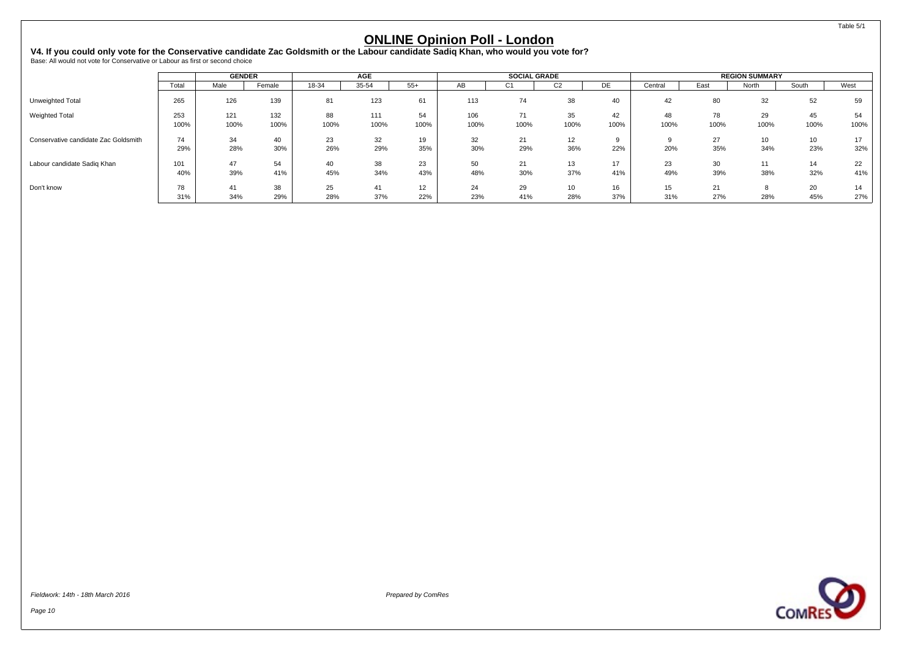<span id="page-11-0"></span>V4. If you could only vote for the Conservative candidate Zac Goldsmith or the Labour candidate Sadiq Khan, who would you vote for?<br><sub>Base: All would not vote for Conservative or Labour as first or second choice</sub>

|                                      |             | <b>GENDER</b> |             |            | <b>AGE</b>  |            |             | <b>SOCIAL GRADE</b> |                |            |            |            | <b>REGION SUMMARY</b> |            |            |
|--------------------------------------|-------------|---------------|-------------|------------|-------------|------------|-------------|---------------------|----------------|------------|------------|------------|-----------------------|------------|------------|
|                                      | Total       | Male          | Female      | 18-34      | 35-54       | $55+$      | AB          | C1                  | C <sub>2</sub> | DE         | Central    | East       | North                 | South      | West       |
| Unweighted Total                     | 265         | 126           | 139         | 81         | 123         | 61         | 113         | 74                  | 38             | 40         | 42         | 80         | 32                    | 52         | 59         |
| <b>Weighted Total</b>                | 253<br>100% | 121<br>100%   | 132<br>100% | 88<br>100% | 111<br>100% | 54<br>100% | 106<br>100% | 71<br>100%          | 35<br>100%     | 42<br>100% | 48<br>100% | 78<br>100% | 29<br>100%            | 45<br>100% | 54<br>100% |
| Conservative candidate Zac Goldsmith | 74<br>29%   | 34<br>28%     | 40<br>30%   | 23<br>26%  | 32<br>29%   | 19<br>35%  | 32<br>30%   | 21<br>29%           | 12<br>36%      | 22%        | 20%        | 27<br>35%  | 10<br>34%             | 10<br>23%  | 17<br>32%  |
| Labour candidate Sadiq Khan          | 101<br>40%  | 47<br>39%     | 54<br>41%   | 40<br>45%  | 38<br>34%   | 23<br>43%  | 50<br>48%   | 21<br>30%           | 13<br>37%      | 17<br>41%  | 23<br>49%  | 30<br>39%  | 11<br>38%             | 14<br>32%  | 22<br>41%  |
| Don't know                           | 78<br>31%   | 41<br>34%     | 38<br>29%   | 25<br>28%  | 37%         | 12<br>22%  | 24<br>23%   | 29<br>41%           | 10<br>28%      | 16<br>37%  | 15<br>31%  | 21<br>27%  | 28%                   | 20<br>45%  | 14<br>27%  |

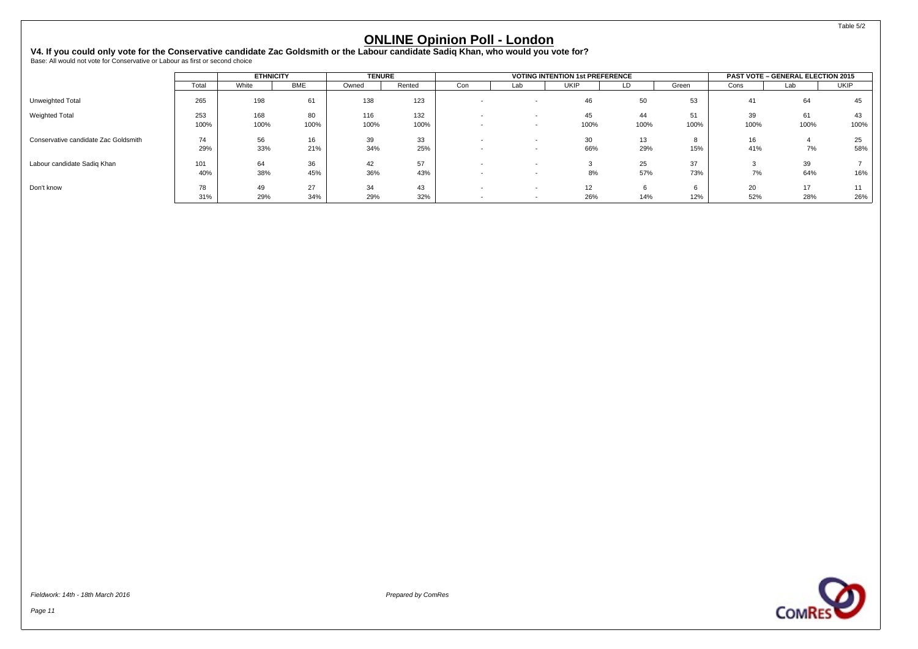V4. If you could only vote for the Conservative candidate Zac Goldsmith or the Labour candidate Sadiq Khan, who would you vote for?<br><sub>Base: All would not vote for Conservative or Labour as first or second choice</sub>

|                                      |           | <b>ETHNICITY</b> |            | <b>TENURE</b> |           |                          |                          | <b>VOTING INTENTION 1st PREFERENCE</b> |          |       |           | <b>PAST VOTE - GENERAL ELECTION 2015</b> |             |
|--------------------------------------|-----------|------------------|------------|---------------|-----------|--------------------------|--------------------------|----------------------------------------|----------|-------|-----------|------------------------------------------|-------------|
|                                      | Total     | White            | <b>BME</b> | Owned         | Rented    | Con                      | Lab                      | <b>UKIP</b>                            | LD       | Green | Cons      | Lab                                      | <b>UKIP</b> |
| Unweighted Total                     | 265       | 198              | 61         | 138           | 123       |                          |                          | 46                                     | 50       | 53    | 41        | 64                                       | 45          |
| <b>Weighted Total</b>                | 253       | 168              | 80         | 116           | 132       |                          |                          | 45                                     | 44       | 51    | 39        | 61                                       |             |
|                                      | 100%      | 100%             | 100%       | 100%          | 100%      | $\overline{\phantom{0}}$ | $\sim$                   | 100%                                   | 100%     | 100%  | 100%      | 100%                                     | 100%        |
| Conservative candidate Zac Goldsmith | 74        | 56               | 16         | 39            | 33        |                          |                          | 30                                     | 13       |       | 16        |                                          | 25          |
|                                      | 29%       | 33%              | 21%        | 34%           | 25%       |                          | $\sim$                   | 66%                                    | 29%      | 15%   | 41%       | 7%                                       | 58%         |
| Labour candidate Sadiq Khan          | 101       | 64               | 36         | 42            | 57        |                          |                          |                                        | 25       | 37    |           | 39                                       |             |
|                                      | 40%       | 38%              | 45%        | 36%           | 43%       |                          |                          | 8%                                     | 57%      | 73%   | 7%        | 64%                                      | 16%         |
| Don't know                           | 78<br>31% | 49<br>29%        | 27<br>34%  | 34<br>29%     | 43<br>32% |                          | $\overline{\phantom{a}}$ | 12<br>26%                              | 6<br>14% | 12%   | 20<br>52% | 17<br>28%                                | 26%         |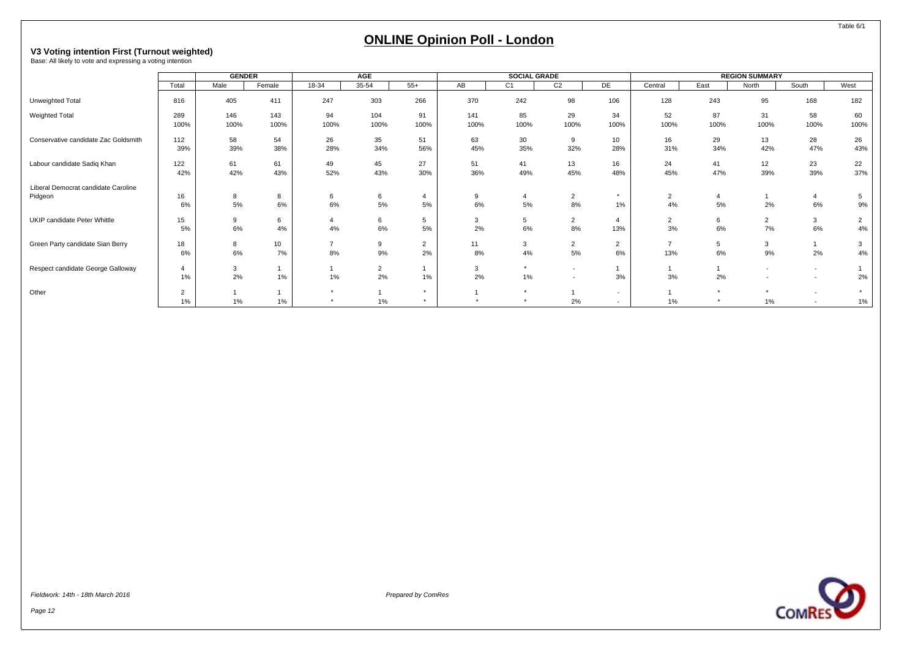# <span id="page-13-0"></span>**V3 Voting intention First (Turnout weighted)** Base: All likely to vote and expressing a voting intention

|                                                |                      | <b>GENDER</b> |             |            | AGE                  |                      |             | <b>SOCIAL GRADE</b> |                                    |                                    |                                 |            | <b>REGION SUMMARY</b>                                |                                  |                      |
|------------------------------------------------|----------------------|---------------|-------------|------------|----------------------|----------------------|-------------|---------------------|------------------------------------|------------------------------------|---------------------------------|------------|------------------------------------------------------|----------------------------------|----------------------|
|                                                | Total                | Male          | Female      | $18-34$    | 35-54                | $55+$                | AB          | C <sub>1</sub>      | C <sub>2</sub>                     | DE                                 | Central                         | East       | North                                                | South                            | West                 |
| Unweighted Total                               | 816                  | 405           | 411         | 247        | 303                  | 266                  | 370         | 242                 | 98                                 | 106                                | 128                             | 243        | 95                                                   | 168                              | 182                  |
| Weighted Total                                 | 289<br>100%          | 146<br>100%   | 143<br>100% | 94<br>100% | 104<br>100%          | 91<br>100%           | 141<br>100% | 85<br>100%          | 29<br>100%                         | 34<br>100%                         | 52<br>100%                      | 87<br>100% | 31<br>100%                                           | 58<br>100%                       | 60<br>100%           |
| Conservative candidate Zac Goldsmith           | 112<br>39%           | 58<br>39%     | 54<br>38%   | 26<br>28%  | 35<br>34%            | 51<br>56%            | 63<br>45%   | 30<br>35%           | 9<br>32%                           | 10<br>28%                          | 16<br>31%                       | 29<br>34%  | 13<br>42%                                            | 28<br>47%                        | 26<br>43%            |
| Labour candidate Sadiq Khan                    | 122<br>42%           | 61<br>42%     | 61<br>43%   | 49<br>52%  | 45<br>43%            | 27<br>30%            | 51<br>36%   | 41<br>49%           | 13<br>45%                          | 16<br>48%                          | 24<br>45%                       | 41<br>47%  | 12<br>39%                                            | 23<br>39%                        | 22<br>37%            |
| Liberal Democrat candidate Caroline<br>Pidgeon | 16<br>6%             | 8<br>5%       | 8<br>6%     | 6<br>6%    | 6<br>5%              | $\overline{4}$<br>5% | 9<br>6%     | 5%                  | $\overline{2}$<br>8%               | $\star$<br>1%                      | $\overline{2}$<br>4%            | 5%         | 2%                                                   | $\overline{4}$<br>6%             | 5<br>9%              |
| UKIP candidate Peter Whittle                   | 15<br>5%             | 9<br>6%       | 6<br>4%     | 4%         | 6<br>6%              | 5<br>5%              | 3<br>2%     | 5<br>6%             | $\overline{2}$<br>8%               | 13%                                | $\overline{2}$<br>3%            | 6<br>6%    | $\overline{2}$<br>7%                                 | 3<br>6%                          | $\overline{2}$<br>4% |
| Green Party candidate Sian Berry               | 18<br>6%             | 8<br>6%       | 10<br>7%    | 8%         | 9<br>9%              | $\overline{2}$<br>2% | 11<br>8%    | 3<br>4%             | $\overline{2}$<br>5%               | $\overline{2}$<br>$6\%$            | $\overline{\phantom{a}}$<br>13% | 5<br>6%    | $\mathbf{3}$<br>9%                                   | 2%                               | 3<br>4%              |
| Respect candidate George Galloway              | $\overline{4}$<br>1% | 3<br>2%       | 1%          | 1%         | $\overline{2}$<br>2% | 1%                   | 3<br>2%     | $\star$<br>1%       | $\sim$<br>$\overline{\phantom{a}}$ | 3%                                 | 3%                              | 2%         | $\overline{\phantom{0}}$<br>$\overline{\phantom{0}}$ | $\overline{a}$<br>$\overline{a}$ | 2%                   |
| Other                                          | $\overline{2}$<br>1% | $1\%$         | $1\%$       | $\star$    | 1%                   | $\star$              |             | $\star$<br>$\star$  | 2%                                 | $\sim$<br>$\overline{\phantom{a}}$ | 1%                              |            | $1\%$                                                | $\overline{a}$                   | $\star$<br>1%        |

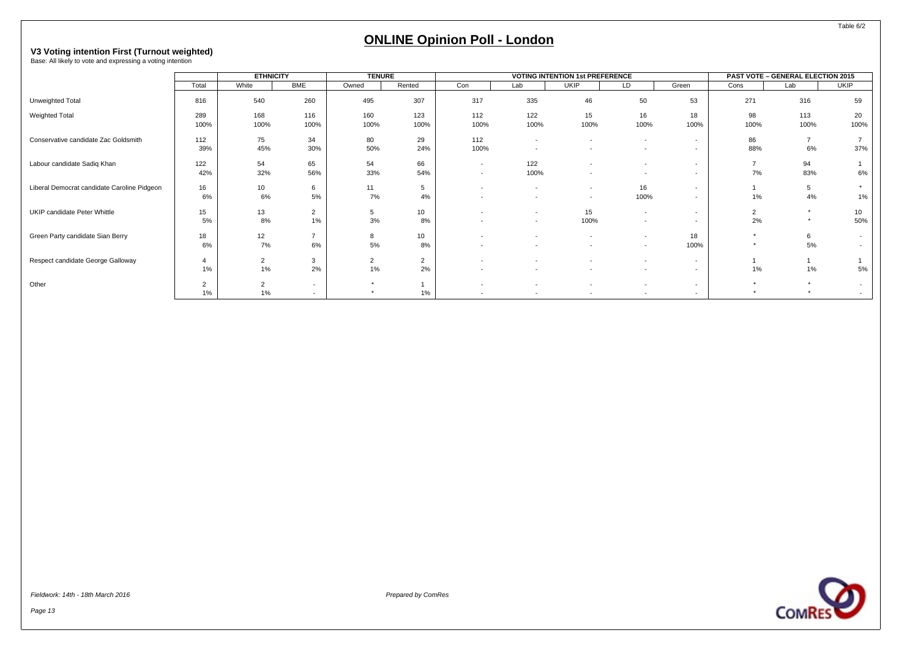# **V3 Voting intention First (Turnout weighted)** Base: All likely to vote and expressing a voting intention

|                                             |                             | <b>ETHNICITY</b>     |                                                      | <b>TENURE</b> |                        |                                                      |                                            | <b>VOTING INTENTION 1st PREFERENCE</b>               |                                                      |                                    |                      | PAST VOTE - GENERAL ELECTION 2015 |                        |
|---------------------------------------------|-----------------------------|----------------------|------------------------------------------------------|---------------|------------------------|------------------------------------------------------|--------------------------------------------|------------------------------------------------------|------------------------------------------------------|------------------------------------|----------------------|-----------------------------------|------------------------|
|                                             | Total                       | White                | <b>BME</b>                                           | Owned         | Rented                 | Con                                                  | Lab                                        | <b>UKIP</b>                                          | LD                                                   | Green                              | Cons                 | Lab                               | <b>UKIP</b>            |
| Unweighted Total                            | 816                         | 540                  | 260                                                  | 495           | 307                    | 317                                                  | 335                                        | 46                                                   | 50                                                   | 53                                 | 271                  | 316                               | 59                     |
| Weighted Total                              | 289<br>100%                 | 168<br>100%          | 116<br>100%                                          | 160<br>100%   | 123<br>100%            | 112<br>100%                                          | 122<br>100%                                | 15<br>100%                                           | 16<br>100%                                           | 18<br>100%                         | 98<br>100%           | 113<br>100%                       | 20<br>100%             |
| Conservative candidate Zac Goldsmith        | 112<br>39%                  | 75<br>45%            | 34<br>30%                                            | 80<br>50%     | 29<br>24%              | 112<br>100%                                          | $\overline{a}$<br>$\overline{\phantom{a}}$ |                                                      | $\overline{\phantom{a}}$<br>$\overline{\phantom{a}}$ | $\sim$<br>$\sim$                   | 86<br>88%            | $\overline{7}$<br>6%              | 37%                    |
| Labour candidate Sadiq Khan                 | 122<br>42%                  | 54<br>32%            | 65<br>56%                                            | 54<br>33%     | 66<br>54%              | $\overline{\phantom{a}}$<br>$\overline{\phantom{a}}$ | 122<br>100%                                |                                                      | $\overline{a}$<br>$\overline{a}$                     | $\sim$<br>$\sim$                   | $\overline{7}$<br>7% | 94<br>83%                         | 6%                     |
| Liberal Democrat candidate Caroline Pidgeon | 16<br>6%                    | 10<br>6%             | 6<br>5%                                              | 11<br>7%      | 5<br>4%                | $\overline{\phantom{a}}$<br>$\overline{\phantom{a}}$ | $\overline{a}$<br>$\overline{\phantom{a}}$ | $\overline{\phantom{a}}$<br>$\overline{\phantom{a}}$ | 16<br>100%                                           | $\overline{\phantom{0}}$<br>$\sim$ | 1%                   | 5<br>4%                           | 1%                     |
| UKIP candidate Peter Whittle                | 15<br>5%                    | 13<br>8%             | 2<br>1%                                              | 5<br>3%       | 10 <sup>10</sup><br>8% | $\overline{\phantom{a}}$                             | $\overline{a}$<br>$\sim$                   | 15<br>100%                                           | $\overline{\phantom{a}}$<br>$\overline{a}$           | $\overline{\phantom{a}}$<br>$\sim$ | $\overline{c}$<br>2% | $\star$<br>$\star$                | 10 <sup>1</sup><br>50% |
| Green Party candidate Sian Berry            | 18<br>6%                    | 12<br>7%             | $\overline{ }$<br>6%                                 | 8<br>5%       | 10 <sup>1</sup><br>8%  | $\overline{\phantom{a}}$<br>$\overline{\phantom{a}}$ | $\overline{a}$                             | $\overline{\phantom{a}}$                             | $\overline{\phantom{a}}$<br>$\overline{\phantom{a}}$ | 18<br>100%                         | $\star$              | 6<br>5%                           | $\sim$                 |
| Respect candidate George Galloway           | $\boldsymbol{\Delta}$<br>1% | $\overline{2}$<br>1% | 3<br>2%                                              | 2<br>1%       | $\overline{2}$<br>2%   |                                                      |                                            |                                                      | $\overline{\phantom{a}}$<br>$\overline{a}$           | $\sim$<br>$\sim$                   | 1%                   | $1\%$                             | 5%                     |
| Other                                       | 2<br>1%                     | $\overline{2}$<br>1% | $\overline{\phantom{a}}$<br>$\overline{\phantom{a}}$ | $\star$       | $1\%$                  | $\overline{\phantom{a}}$                             | $\overline{a}$                             | $\overline{\phantom{0}}$                             | $\overline{\phantom{a}}$<br>$\overline{\phantom{a}}$ | $\sim$<br>$\sim$                   | $\star$              | $\star$                           |                        |

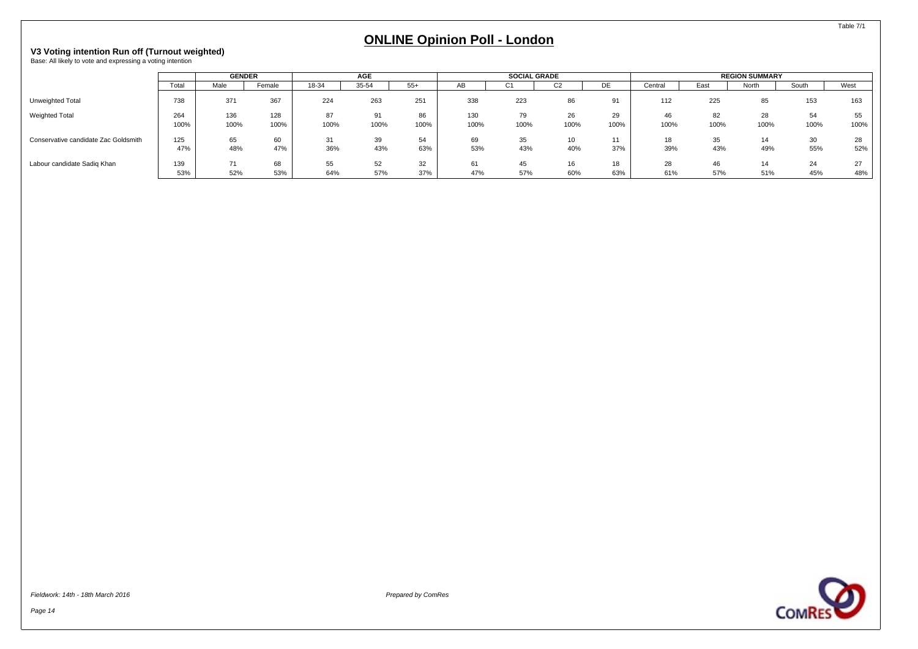# <span id="page-15-0"></span>**V3 Voting intention Run off (Turnout weighted)** Base: All likely to vote and expressing a voting intention

|                                      |             | <b>GENDER</b> |             |            | <b>AGE</b> |            |             | <b>SOCIAL GRADE</b> |            |              |            |            | <b>REGION SUMMARY</b> |            |            |
|--------------------------------------|-------------|---------------|-------------|------------|------------|------------|-------------|---------------------|------------|--------------|------------|------------|-----------------------|------------|------------|
|                                      | Total       | Male          | Female      | 18-34      | 35-54      | $55+$      | AB          | C <sub>1</sub>      | UZ         | DE           | Central    | East       | North                 | South      | West       |
| Unweighted Total                     | 738         | 371           | 367         | 224        | 263        | 251        | 338         | 223                 | 86         | 91           | 112        | 225        | 85                    | 153        | 163        |
| <b>Weighted Total</b>                | 264<br>100% | 136<br>100%   | 128<br>100% | 87<br>100% | 91<br>100% | 86<br>100% | 130<br>100% | 79<br>100%          | 26<br>100% | 29<br>100%   | 46<br>100% | 82<br>100% | 28<br>100%            | 54<br>100% | 55<br>100% |
| Conservative candidate Zac Goldsmith | 125<br>47%  | 65<br>48%     | 60<br>47%   | 31<br>36%  | 39<br>43%  | 54<br>63%  | 69<br>53%   | 35<br>43%           | 10<br>40%  | $-11$<br>37% | 18<br>39%  | 35<br>43%  | 14<br>49%             | 30<br>55%  | 28<br>52%  |
| Labour candidate Sadiq Khan          | 139<br>53%  | 71<br>52%     | 68<br>53%   | 55<br>64%  | 52<br>57%  | 32<br>37%  | 61<br>47%   | 45<br>57%           | 16<br>60%  | 18<br>63%    | 28<br>61%  | 46<br>57%  | 51%                   | 24<br>45%  | 27<br>48%  |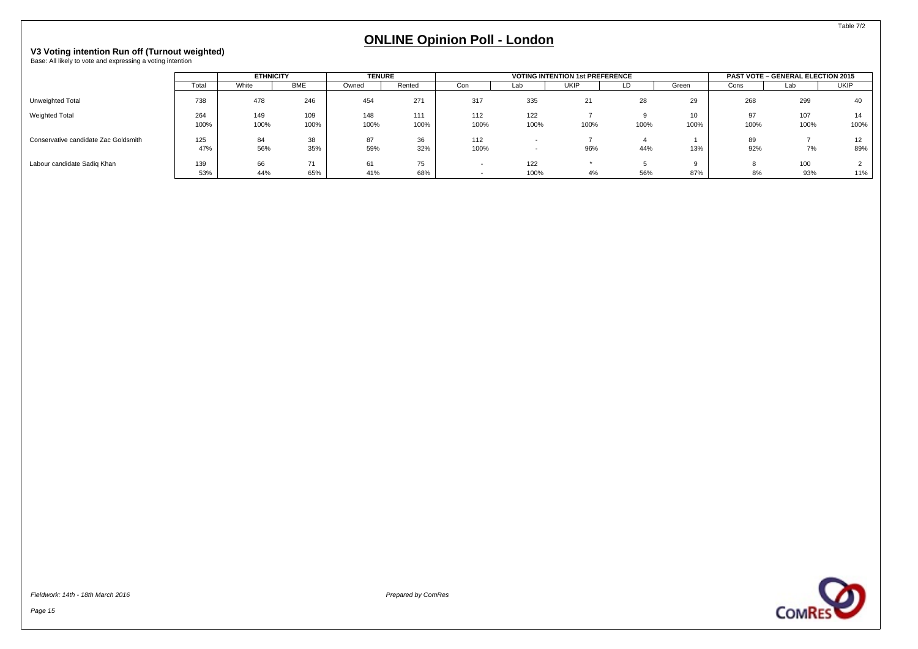# **V3 Voting intention Run off (Turnout weighted)** Base: All likely to vote and expressing a voting intention

|                                      |             | <b>ETHNICITY</b> |             | <b>TENURE</b> |             |             |             | <b>VOTING INTENTION 1st PREFERENCE</b> |      |            |            | <b>PAST VOTE - GENERAL ELECTION 2015</b> |                        |
|--------------------------------------|-------------|------------------|-------------|---------------|-------------|-------------|-------------|----------------------------------------|------|------------|------------|------------------------------------------|------------------------|
|                                      | Total       | White            | <b>BME</b>  | Owned         | Rented      | Con         | Lab         | UKIP                                   | LD   | Green      | Cons       | Lab                                      | <b>UKIP</b>            |
| Unweighted Total                     | 738         | 478              | 246         | 454           | 271         | 317         | 335         | 21                                     | 28   | 29         | 268        | 299                                      | 40                     |
| <b>Weighted Total</b>                | 264<br>100% | 149<br>100%      | 109<br>100% | 148<br>100%   | 111<br>100% | 112<br>100% | 122<br>100% | 100%                                   | 100% | 10<br>100% | 97<br>100% | 107<br>100%                              | 14.<br>100%            |
| Conservative candidate Zac Goldsmith | 125<br>47%  | 84<br>56%        | 38<br>35%   | 87<br>59%     | 36<br>32%   | 112<br>100% |             | 96%                                    | 44%  | 13%        | 89<br>92%  | 7%                                       | 12 <sup>2</sup><br>89% |
| Labour candidate Sadig Khan          | 139<br>53%  | 66<br>44%        | 74<br>65%   | 61<br>41%     | 75<br>68%   |             | 122<br>100% | 4%                                     | 56%  | 87%        | 8%         | 100<br>93%                               | 11%                    |



**COMRES** 

Table 7/2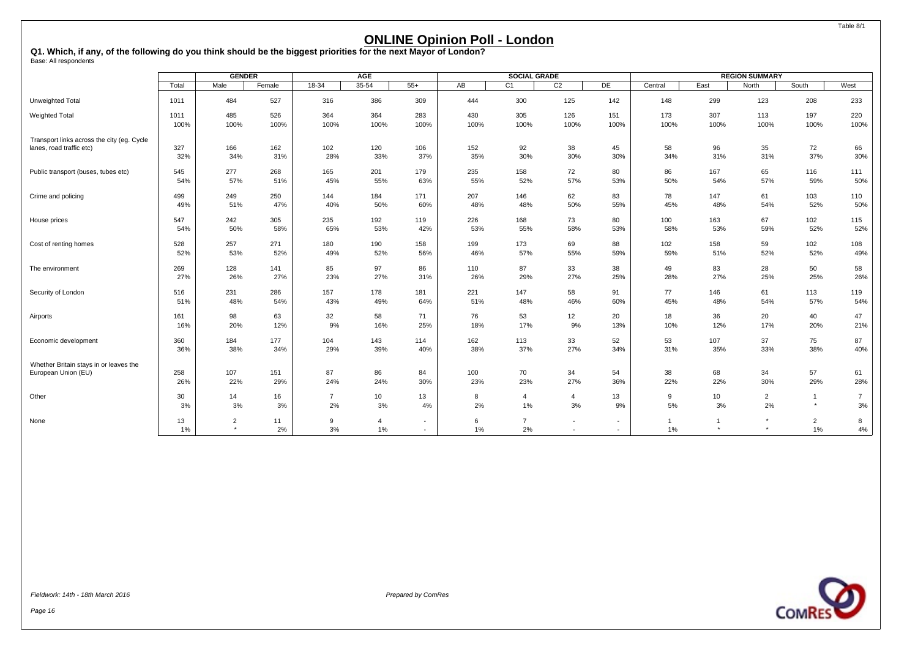<span id="page-17-0"></span>**Q1. Which, if any, of the following do you think should be the biggest priorities for the next Mayor of London?** Base: All respondents

|                                            |          | <b>GENDER</b>             |          |                | <b>AGE</b>              |        |         | <b>SOCIAL GRADE</b>  |                                            |                          |                    |                           | <b>REGION SUMMARY</b> |                      |                |
|--------------------------------------------|----------|---------------------------|----------|----------------|-------------------------|--------|---------|----------------------|--------------------------------------------|--------------------------|--------------------|---------------------------|-----------------------|----------------------|----------------|
|                                            | Total    | Male                      | Female   | $18 - 34$      | $35 - 54$               | $55+$  | AB      | C <sub>1</sub>       | C <sub>2</sub>                             | DE                       | Central            | East                      | North                 | South                | West           |
| Unweighted Total                           | 1011     | 484                       | 527      | 316            | 386                     | 309    | 444     | 300                  | 125                                        | 142                      | 148                | 299                       | 123                   | 208                  | 233            |
| <b>Weighted Total</b>                      | 1011     | 485                       | 526      | 364            | 364                     | 283    | 430     | 305                  | 126                                        | 151                      | 173                | 307                       | 113                   | 197                  | 220            |
|                                            | 100%     | 100%                      | 100%     | 100%           | 100%                    | 100%   | 100%    | 100%                 | 100%                                       | 100%                     | 100%               | 100%                      | 100%                  | 100%                 | 100%           |
| Transport links across the city (eg. Cycle | 327      | 166                       | 162      | 102            | 120                     | 106    | 152     | 92                   | 38                                         | 45                       | 58                 | 96                        | 35                    | 72                   | 66             |
| lanes, road traffic etc)                   | 32%      | 34%                       | 31%      | 28%            | 33%                     | 37%    | 35%     | 30%                  | 30%                                        | 30%                      | 34%                | 31%                       | 31%                   | 37%                  | 30%            |
| Public transport (buses, tubes etc)        | 545      | 277                       | 268      | 165            | 201                     | 179    | 235     | 158                  | 72                                         | 80                       | 86                 | 167                       | 65                    | 116                  | 111            |
|                                            | 54%      | 57%                       | 51%      | 45%            | 55%                     | 63%    | 55%     | 52%                  | 57%                                        | 53%                      | 50%                | 54%                       | 57%                   | 59%                  | 50%            |
| Crime and policing                         | 499      | 249                       | 250      | 144            | 184                     | 171    | 207     | 146                  | 62                                         | 83                       | 78                 | 147                       | 61                    | 103                  | 110            |
|                                            | 49%      | 51%                       | 47%      | 40%            | 50%                     | 60%    | 48%     | 48%                  | 50%                                        | 55%                      | 45%                | 48%                       | 54%                   | 52%                  | 50%            |
| House prices                               | 547      | 242                       | 305      | 235            | 192                     | 119    | 226     | 168                  | 73                                         | 80                       | 100                | 163                       | 67                    | 102                  | 115            |
|                                            | 54%      | 50%                       | 58%      | 65%            | 53%                     | 42%    | 53%     | 55%                  | 58%                                        | 53%                      | 58%                | 53%                       | 59%                   | 52%                  | 52%            |
| Cost of renting homes                      | 528      | 257                       | 271      | 180            | 190                     | 158    | 199     | 173                  | 69                                         | 88                       | 102                | 158                       | 59                    | 102                  | 108            |
|                                            | 52%      | 53%                       | 52%      | 49%            | 52%                     | 56%    | 46%     | 57%                  | 55%                                        | 59%                      | 59%                | 51%                       | 52%                   | 52%                  | 49%            |
| The environment                            | 269      | 128                       | 141      | 85             | 97                      | 86     | 110     | 87                   | 33                                         | 38                       | 49                 | 83                        | 28                    | 50                   | 58             |
|                                            | 27%      | 26%                       | 27%      | 23%            | 27%                     | 31%    | 26%     | 29%                  | 27%                                        | 25%                      | 28%                | 27%                       | 25%                   | 25%                  | 26%            |
| Security of London                         | 516      | 231                       | 286      | 157            | 178                     | 181    | 221     | 147                  | 58                                         | 91                       | 77                 | 146                       | 61                    | 113                  | 119            |
|                                            | 51%      | 48%                       | 54%      | 43%            | 49%                     | 64%    | 51%     | 48%                  | 46%                                        | 60%                      | 45%                | 48%                       | 54%                   | 57%                  | 54%            |
| Airports                                   | 161      | 98                        | 63       | 32             | 58                      | 71     | 76      | 53                   | 12                                         | 20                       | 18                 | 36                        | 20                    | 40                   | 47             |
|                                            | 16%      | 20%                       | 12%      | 9%             | 16%                     | 25%    | 18%     | 17%                  | 9%                                         | 13%                      | 10%                | 12%                       | 17%                   | 20%                  | 21%            |
| Economic development                       | 360      | 184                       | 177      | 104            | 143                     | 114    | 162     | 113                  | 33                                         | 52                       | 53                 | 107                       | 37                    | 75                   | 87             |
|                                            | 36%      | 38%                       | 34%      | 29%            | 39%                     | 40%    | 38%     | 37%                  | 27%                                        | 34%                      | 31%                | 35%                       | 33%                   | 38%                  | 40%            |
| Whether Britain stays in or leaves the     | 258      | 107                       | 151      | 87             | 86                      | 84     | 100     | 70                   | 34                                         | 54                       | 38                 | 68                        | 34                    | 57                   | 61             |
| European Union (EU)                        | 26%      | 22%                       | 29%      | 24%            | 24%                     | 30%    | 23%     | 23%                  | 27%                                        | 36%                      | 22%                | 22%                       | 30%                   | 29%                  | 28%            |
| Other                                      | 30       | 14                        | 16       | $\overline{7}$ | 10 <sup>10</sup>        | 13     | 8       | $\overline{4}$       | 4                                          | 13                       | 9                  | 10                        | $\overline{2}$        | $\overline{1}$       | $\overline{7}$ |
|                                            | 3%       | 3%                        | 3%       | 2%             | 3%                      | 4%     | 2%      | $1\%$                | 3%                                         | 9%                       | 5%                 | 3%                        | 2%                    | $\star$              | 3%             |
| None                                       | 13<br>1% | $\overline{2}$<br>$\star$ | 11<br>2% | 9<br>3%        | $\overline{4}$<br>$1\%$ | $\sim$ | 6<br>1% | $\overline{7}$<br>2% | $\overline{\phantom{a}}$<br>$\overline{a}$ | $\sim$<br>$\overline{a}$ | $\mathbf{1}$<br>1% | $\overline{1}$<br>$\star$ | $\star$<br>$\star$    | $\overline{2}$<br>1% | 8<br>$4\%$     |

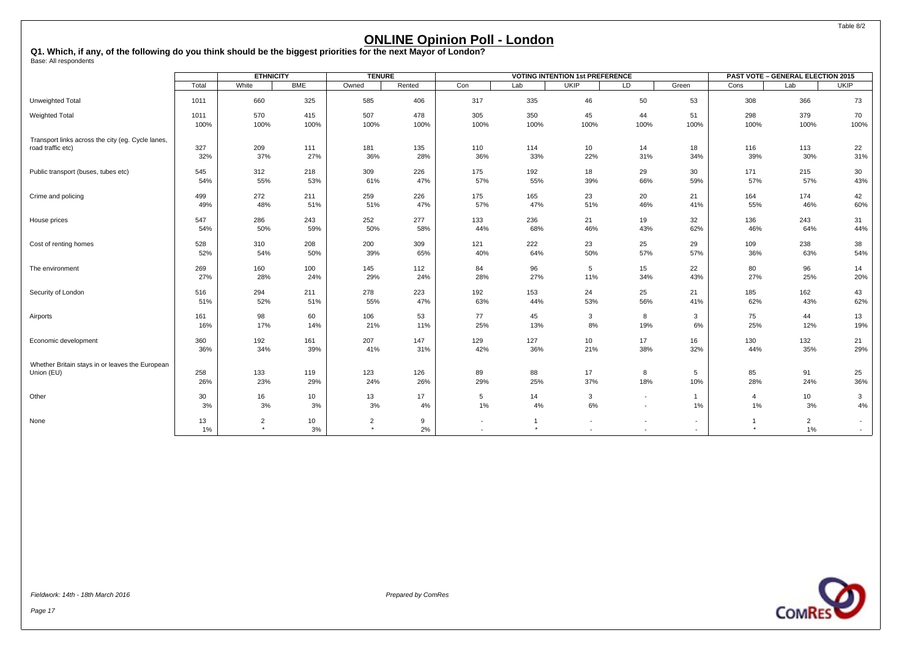**Q1. Which, if any, of the following do you think should be the biggest priorities for the next Mayor of London?** Base: All respondents

|                                                   |             | <b>ETHNICITY</b>          |            | <b>TENURE</b>             |         |                          |                         | <b>VOTING INTENTION 1st PREFERENCE</b> |                                                      |                                            |                         | <b>PAST VOTE - GENERAL ELECTION 2015</b> |                  |
|---------------------------------------------------|-------------|---------------------------|------------|---------------------------|---------|--------------------------|-------------------------|----------------------------------------|------------------------------------------------------|--------------------------------------------|-------------------------|------------------------------------------|------------------|
|                                                   | Total       | White                     | <b>BME</b> | Owned                     | Rented  | Con                      | Lab                     | <b>UKIP</b>                            | LD                                                   | Green                                      | Cons                    | Lab                                      | <b>UKIP</b>      |
| Unweighted Total                                  | 1011        | 660                       | 325        | 585                       | 406     | 317                      | 335                     | 46                                     | 50                                                   | 53                                         | 308                     | 366                                      | 73               |
| <b>Weighted Total</b>                             | 1011        | 570                       | 415        | 507                       | 478     | 305                      | 350                     | 45                                     | 44                                                   | 51                                         | 298                     | 379                                      | 70               |
|                                                   | 100%        | 100%                      | 100%       | 100%                      | 100%    | 100%                     | 100%                    | 100%                                   | 100%                                                 | 100%                                       | 100%                    | 100%                                     | 100%             |
| Transport links across the city (eg. Cycle lanes, | 327         | 209                       | 111        | 181                       | 135     | 110                      | 114                     | 10                                     | 14                                                   | 18                                         | 116                     | 113                                      | 22               |
| road traffic etc)                                 | 32%         | 37%                       | 27%        | 36%                       | 28%     | 36%                      | 33%                     | 22%                                    | 31%                                                  | 34%                                        | 39%                     | 30%                                      | 31%              |
| Public transport (buses, tubes etc)               | 545         | 312                       | 218        | 309                       | 226     | 175                      | 192                     | 18                                     | 29                                                   | 30                                         | 171                     | 215                                      | 30               |
|                                                   | 54%         | 55%                       | 53%        | 61%                       | 47%     | 57%                      | 55%                     | 39%                                    | 66%                                                  | 59%                                        | 57%                     | 57%                                      | 43%              |
| Crime and policing                                | 499         | 272                       | 211        | 259                       | 226     | 175                      | 165                     | 23                                     | 20                                                   | 21                                         | 164                     | 174                                      | 42               |
|                                                   | 49%         | 48%                       | 51%        | 51%                       | 47%     | 57%                      | 47%                     | 51%                                    | 46%                                                  | 41%                                        | 55%                     | 46%                                      | 60%              |
| House prices                                      | 547         | 286                       | 243        | 252                       | 277     | 133                      | 236                     | 21                                     | 19                                                   | 32                                         | 136                     | 243                                      | 31               |
|                                                   | 54%         | 50%                       | 59%        | 50%                       | 58%     | 44%                      | 68%                     | 46%                                    | 43%                                                  | 62%                                        | 46%                     | 64%                                      | 44%              |
| Cost of renting homes                             | 528         | 310                       | 208        | 200                       | 309     | 121                      | 222                     | 23                                     | 25                                                   | 29                                         | 109                     | 238                                      | 38               |
|                                                   | 52%         | 54%                       | 50%        | 39%                       | 65%     | 40%                      | 64%                     | 50%                                    | 57%                                                  | 57%                                        | 36%                     | 63%                                      | 54%              |
| The environment                                   | 269         | 160                       | 100        | 145                       | 112     | 84                       | 96                      | 5                                      | 15                                                   | 22                                         | 80                      | 96                                       | 14               |
|                                                   | 27%         | 28%                       | 24%        | 29%                       | 24%     | 28%                      | 27%                     | 11%                                    | 34%                                                  | 43%                                        | 27%                     | 25%                                      | 20%              |
| Security of London                                | 516         | 294                       | 211        | 278                       | 223     | 192                      | 153                     | 24                                     | 25                                                   | 21                                         | 185                     | 162                                      | 43               |
|                                                   | 51%         | 52%                       | 51%        | 55%                       | 47%     | 63%                      | 44%                     | 53%                                    | 56%                                                  | 41%                                        | 62%                     | 43%                                      | 62%              |
| Airports                                          | 161         | 98                        | 60         | 106                       | 53      | 77                       | 45                      | 3                                      | 8                                                    | $\mathbf{3}$                               | 75                      | 44                                       | 13               |
|                                                   | 16%         | 17%                       | 14%        | 21%                       | 11%     | 25%                      | 13%                     | 8%                                     | 19%                                                  | 6%                                         | 25%                     | 12%                                      | 19%              |
| Economic development                              | 360         | 192                       | 161        | 207                       | 147     | 129                      | 127                     | 10                                     | 17                                                   | 16                                         | 130                     | 132                                      | 21               |
|                                                   | 36%         | 34%                       | 39%        | 41%                       | 31%     | 42%                      | 36%                     | 21%                                    | 38%                                                  | 32%                                        | 44%                     | 35%                                      | 29%              |
| Whether Britain stays in or leaves the European   | 258         | 133                       | 119        | 123                       | 126     | 89                       | 88                      | 17                                     | 8                                                    | 5                                          | 85                      | 91                                       | 25               |
| Union (EU)                                        | 26%         | 23%                       | 29%        | 24%                       | 26%     | 29%                      | 25%                     | 37%                                    | 18%                                                  | 10%                                        | 28%                     | 24%                                      | 36%              |
| Other                                             | 30          | 16                        | 10         | 13                        | 17      | 5                        | 14                      | 3                                      | $\sim$                                               | $\mathbf{1}$                               | $\overline{4}$          | 10                                       | $\mathbf{3}$     |
|                                                   | 3%          | 3%                        | 3%         | 3%                        | 4%      | 1%                       | 4%                      | 6%                                     | $\overline{\phantom{a}}$                             | 1%                                         | 1%                      | 3%                                       | 4%               |
| None                                              | 13<br>$1\%$ | $\overline{2}$<br>$\star$ | 10<br>3%   | $\overline{2}$<br>$\star$ | 9<br>2% | $\overline{\phantom{a}}$ | $\mathbf{1}$<br>$\star$ |                                        | $\overline{\phantom{a}}$<br>$\overline{\phantom{a}}$ | $\overline{\phantom{a}}$<br>$\blacksquare$ | $\mathbf{1}$<br>$\star$ | $\overline{2}$<br>1%                     | $\sim$<br>$\sim$ |

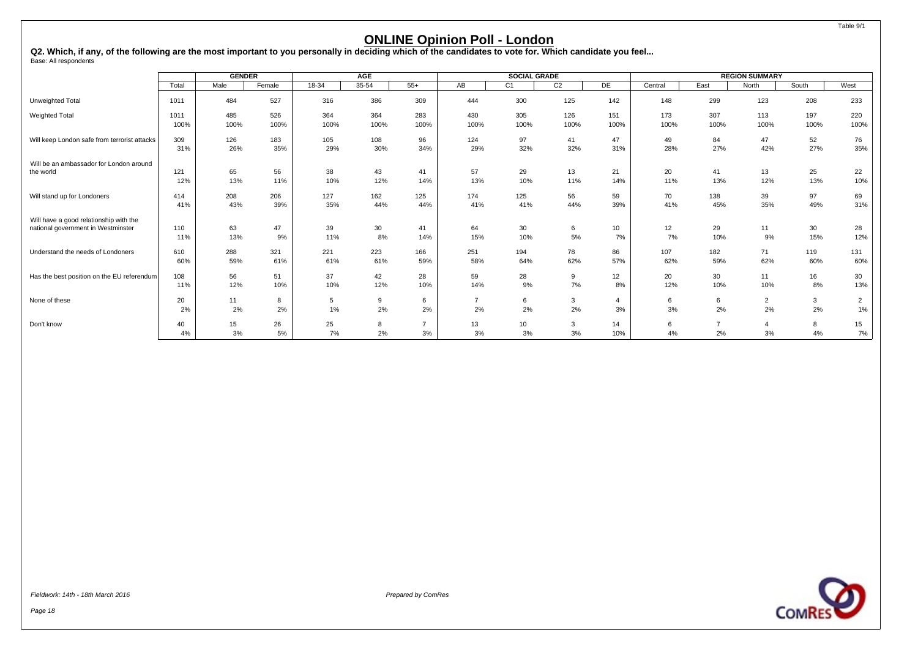<span id="page-19-0"></span>Q2. Which, if any, of the following are the most important to you personally in deciding which of the candidates to vote for. Which candidate you feel...<br><sub>Base:</sub> All respondents

|                                              |       | <b>GENDER</b> |        |         | <b>AGE</b> |                |                | <b>SOCIAL GRADE</b> |                |                |         |                | <b>REGION SUMMARY</b> |       |                |
|----------------------------------------------|-------|---------------|--------|---------|------------|----------------|----------------|---------------------|----------------|----------------|---------|----------------|-----------------------|-------|----------------|
|                                              | Total | Male          | Female | $18-34$ | $35 - 54$  | $55+$          | AB             | C1                  | C <sub>2</sub> | DE             | Central | East           | North                 | South | West           |
| Unweighted Total                             | 1011  | 484           | 527    | 316     | 386        | 309            | 444            | 300                 | 125            | 142            | 148     | 299            | 123                   | 208   | 233            |
| <b>Weighted Total</b>                        | 1011  | 485           | 526    | 364     | 364        | 283            | 430            | 305                 | 126            | 151            | 173     | 307            | 113                   | 197   | 220            |
|                                              | 100%  | 100%          | 100%   | 100%    | 100%       | 100%           | 100%           | 100%                | 100%           | 100%           | 100%    | 100%           | 100%                  | 100%  | 100%           |
| Will keep London safe from terrorist attacks | 309   | 126           | 183    | 105     | 108        | 96             | 124            | 97                  | 41             | 47             | 49      | 84             | 47                    | 52    | 76             |
|                                              | 31%   | 26%           | 35%    | 29%     | 30%        | 34%            | 29%            | 32%                 | 32%            | 31%            | 28%     | 27%            | 42%                   | 27%   | 35%            |
| Will be an ambassador for London around      | 121   | 65            | 56     | 38      | 43         | 41             | 57             | 29                  | 13             | 21             | 20      | 41             | 13                    | 25    | 22             |
| the world                                    | 12%   | 13%           | 11%    | 10%     | 12%        | 14%            | 13%            | 10%                 | 11%            | 14%            | 11%     | 13%            | 12%                   | 13%   | 10%            |
| Will stand up for Londoners                  | 414   | 208           | 206    | 127     | 162        | 125            | 174            | 125                 | 56             | 59             | 70      | 138            | 39                    | 97    | 69             |
|                                              | 41%   | 43%           | 39%    | 35%     | 44%        | 44%            | 41%            | 41%                 | 44%            | 39%            | 41%     | 45%            | 35%                   | 49%   | 31%            |
| Will have a good relationship with the       | 110   | 63            | 47     | 39      | 30         | 41             | 64             | 30                  | 6              | 10             | 12      | 29             | 11                    | 30    | 28             |
| national government in Westminster           | 11%   | 13%           | 9%     | 11%     | 8%         | 14%            | 15%            | 10%                 | 5%             | 7%             | 7%      | 10%            | 9%                    | 15%   | 12%            |
| Understand the needs of Londoners            | 610   | 288           | 321    | 221     | 223        | 166            | 251            | 194                 | 78             | 86             | 107     | 182            | 71                    | 119   | 131            |
|                                              | 60%   | 59%           | 61%    | 61%     | 61%        | 59%            | 58%            | 64%                 | 62%            | 57%            | 62%     | 59%            | 62%                   | 60%   | 60%            |
| Has the best position on the EU referendum   | 108   | 56            | 51     | 37      | 42         | 28             | 59             | 28                  | 9              | 12             | 20      | 30             | 11                    | 16    | 30             |
|                                              | 11%   | 12%           | 10%    | 10%     | 12%        | 10%            | 14%            | 9%                  | 7%             | 8%             | 12%     | 10%            | 10%                   | 8%    | 13%            |
| None of these                                | 20    | 11            | 8      | 5       | 9          | 6              | $\overline{7}$ | 6                   | 3              | $\overline{4}$ | 6       | 6              | $\overline{2}$        | 3     | $\overline{2}$ |
|                                              | 2%    | 2%            | 2%     | 1%      | 2%         | 2%             | 2%             | 2%                  | 2%             | 3%             | 3%      | 2%             | 2%                    | 2%    | $1\%$          |
| Don't know                                   | 40    | 15            | 26     | 25      | 8          | $\overline{7}$ | 13             | 10                  | $\mathbf{3}$   | 14             | 6       | $\overline{7}$ | $\overline{4}$        | 8     | 15             |
|                                              | 4%    | 3%            | 5%     | 7%      | 2%         | 3%             | 3%             | 3%                  | 3%             | 10%            | 4%      | 2%             | 3%                    | 4%    | 7%             |

Fieldwork: 14th - 18th March 2016 Prepared by ComRes

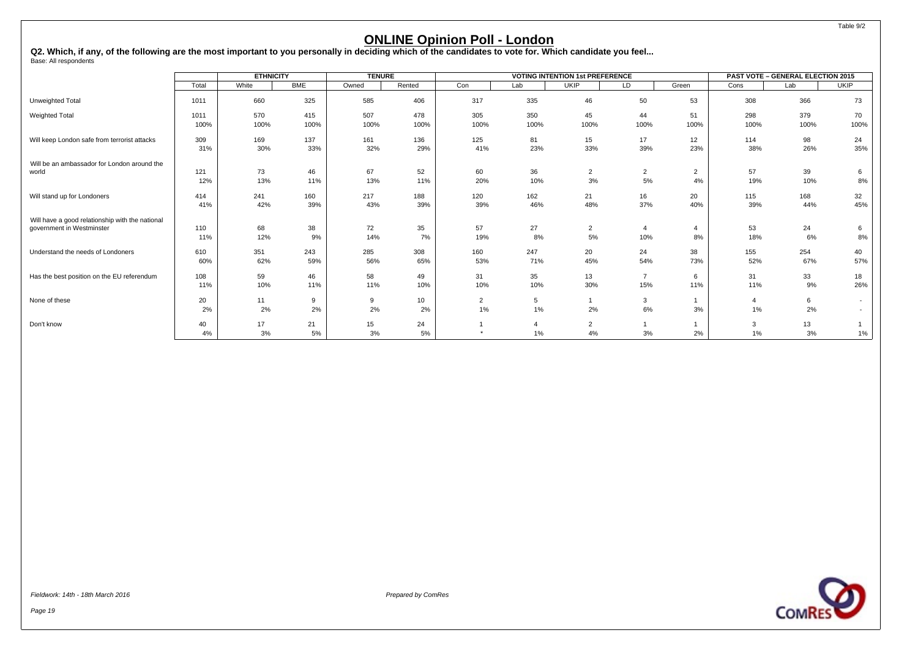Q2. Which, if any, of the following are the most important to you personally in deciding which of the candidates to vote for. Which candidate you feel...<br><sub>Base:</sub> All respondents

|                                                 |          | <b>ETHNICITY</b> |            | <b>TENURE</b> |                       |                      |         | <b>VOTING INTENTION 1st PREFERENCE</b> |                |                 |                      | <b>PAST VOTE - GENERAL ELECTION 2015</b> |                          |
|-------------------------------------------------|----------|------------------|------------|---------------|-----------------------|----------------------|---------|----------------------------------------|----------------|-----------------|----------------------|------------------------------------------|--------------------------|
|                                                 | Total    | White            | <b>BME</b> | Owned         | Rented                | Con                  | Lab     | <b>UKIP</b>                            | LD             | Green           | Cons                 | Lab                                      | <b>UKIP</b>              |
| Unweighted Total                                | 1011     | 660              | 325        | 585           | 406                   | 317                  | 335     | 46                                     | 50             | 53              | 308                  | 366                                      | 73                       |
| Weighted Total                                  | 1011     | 570              | 415        | 507           | 478                   | 305                  | 350     | 45                                     | 44             | 51              | 298                  | 379                                      | 70                       |
|                                                 | 100%     | 100%             | 100%       | 100%          | 100%                  | 100%                 | 100%    | 100%                                   | 100%           | 100%            | 100%                 | 100%                                     | 100%                     |
| Will keep London safe from terrorist attacks    | 309      | 169              | 137        | 161           | 136                   | 125                  | 81      | 15                                     | 17             | 12 <sup>2</sup> | 114                  | 98                                       | 24                       |
|                                                 | 31%      | 30%              | 33%        | 32%           | 29%                   | 41%                  | 23%     | 33%                                    | 39%            | 23%             | 38%                  | 26%                                      | 35%                      |
| Will be an ambassador for London around the     | 121      | 73               | 46         | 67            | 52                    | 60                   | 36      | $\overline{2}$                         | $\overline{2}$ | $\overline{2}$  | 57                   | 39                                       | 6                        |
| world                                           | 12%      | 13%              | 11%        | 13%           | 11%                   | 20%                  | 10%     | 3%                                     | 5%             | 4%              | 19%                  | 10%                                      | 8%                       |
| Will stand up for Londoners                     | 414      | 241              | 160        | 217           | 188                   | 120                  | 162     | 21                                     | 16             | 20              | 115                  | 168                                      | 32                       |
|                                                 | 41%      | 42%              | 39%        | 43%           | 39%                   | 39%                  | 46%     | 48%                                    | 37%            | 40%             | 39%                  | 44%                                      | 45%                      |
| Will have a good relationship with the national | 110      | 68               | 38         | 72            | 35                    | 57                   | 27      | $\overline{2}$                         | $\overline{4}$ | $\overline{4}$  | 53                   | 24                                       | 6                        |
| government in Westminster                       | 11%      | 12%              | 9%         | 14%           | 7%                    | 19%                  | 8%      | 5%                                     | 10%            | 8%              | 18%                  | 6%                                       | $8\%$                    |
| Understand the needs of Londoners               | 610      | 351              | 243        | 285           | 308                   | 160                  | 247     | 20                                     | 24             | 38              | 155                  | 254                                      | 40                       |
|                                                 | 60%      | 62%              | 59%        | 56%           | 65%                   | 53%                  | 71%     | 45%                                    | 54%            | 73%             | 52%                  | 67%                                      | 57%                      |
| Has the best position on the EU referendum      | 108      | 59               | 46         | 58            | 49                    | 31                   | 35      | 13                                     | $\overline{7}$ | 6               | 31                   | 33                                       | 18                       |
|                                                 | 11%      | 10%              | 11%        | 11%           | 10%                   | 10%                  | 10%     | 30%                                    | 15%            | 11%             | 11%                  | 9%                                       | 26%                      |
| None of these                                   | 20<br>2% | 11<br>2%         | 9<br>2%    | 9<br>2%       | 10 <sup>1</sup><br>2% | $\overline{2}$<br>1% | 5<br>1% | 2%                                     | 3<br>6%        | 3%              | $\overline{4}$<br>1% | 6<br>2%                                  | $\overline{\phantom{0}}$ |
| Don't know                                      | 40<br>4% | 17<br>3%         | 21<br>5%   | 15<br>3%      | 24<br>5%              |                      | 1%      | 2<br>4%                                | 3%             | 2%              | 3<br>1%              | 13<br>3%                                 | 1%                       |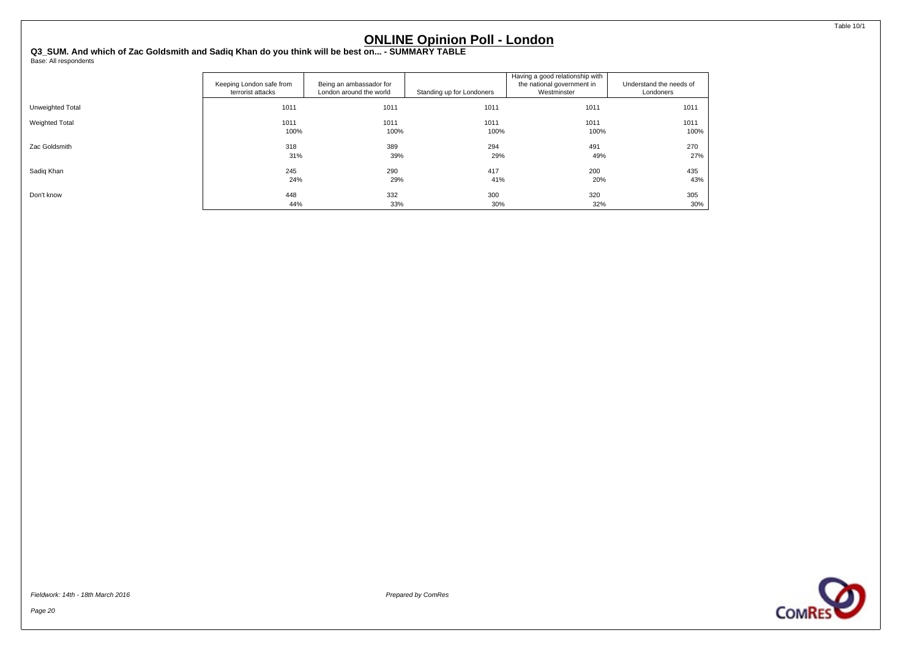<span id="page-21-0"></span>**Q3\_SUM. And which of Zac Goldsmith and Sadiq Khan do you think will be best on... - SUMMARY TABLE** Base: All respondents

|                  | Keeping London safe from<br>terrorist attacks | Being an ambassador for<br>London around the world | Standing up for Londoners | Having a good relationship with<br>the national government in<br>Westminster | Understand the needs of<br>Londoners |
|------------------|-----------------------------------------------|----------------------------------------------------|---------------------------|------------------------------------------------------------------------------|--------------------------------------|
| Unweighted Total | 1011                                          | 1011                                               | 1011                      | 1011                                                                         | 1011                                 |
| Weighted Total   | 1011                                          | 1011                                               | 1011                      | 1011                                                                         | 1011                                 |
|                  | 100%                                          | 100%                                               | 100%                      | 100%                                                                         | 100%                                 |
| Zac Goldsmith    | 318                                           | 389                                                | 294                       | 491                                                                          | 270                                  |
|                  | 31%                                           | 39%                                                | 29%                       | 49%                                                                          | 27%                                  |
| Sadig Khan       | 245                                           | 290                                                | 417                       | 200                                                                          | 435                                  |
|                  | 24%                                           | 29%                                                | 41%                       | 20%                                                                          | 43%                                  |
| Don't know       | 448                                           | 332                                                | 300                       | 320                                                                          | 305                                  |
|                  | 44%                                           | 33%                                                | 30%                       | 32%                                                                          | 30%                                  |

Fieldwork: 14th - 18th March 2016 Prepared by ComRes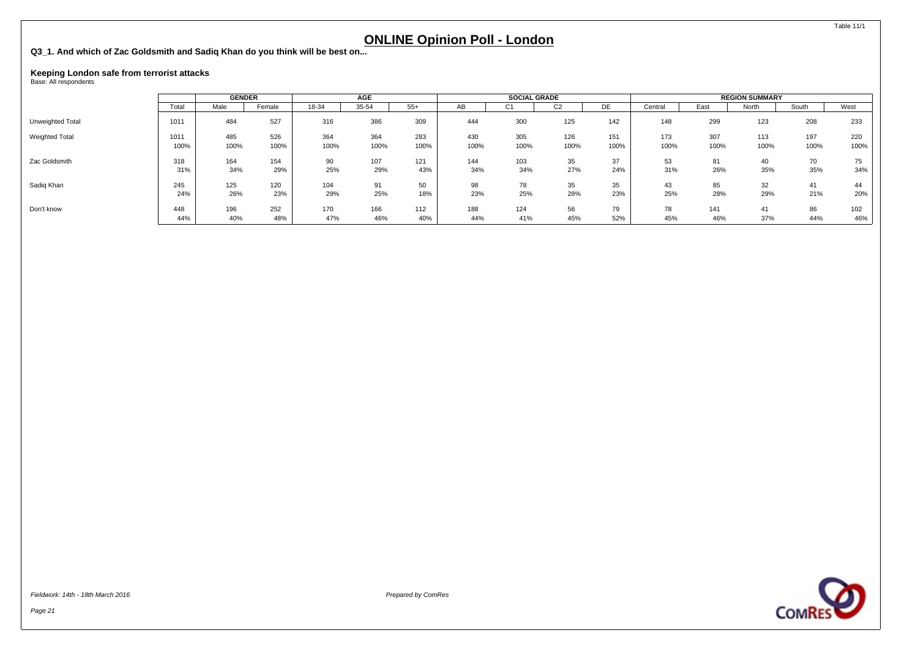<span id="page-22-0"></span>**Q3\_1. And which of Zac Goldsmith and Sadiq Khan do you think will be best on...**

# **Keeping London safe from terrorist attacks** Base: All respondents

|                       |       | <b>GENDER</b> |        |       | AGE   |       |      | <b>SOCIAL GRADE</b> |                |      |         |      | <b>REGION SUMMARY</b> |       |      |
|-----------------------|-------|---------------|--------|-------|-------|-------|------|---------------------|----------------|------|---------|------|-----------------------|-------|------|
|                       | Total | Male          | Female | 18-34 | 35-54 | $55+$ | AB   | ◡                   | C <sub>2</sub> | DE   | Central | East | North                 | South | West |
| Unweighted Total      | 1011  | 484           | 527    | 316   | 386   | 309   | 444  | 300                 | 125            | 142  | 148     | 299  | 123                   | 208   | 233  |
| <b>Weighted Total</b> | 1011  | 485           | 526    | 364   | 364   | 283   | 430  | 305                 | 126            | 151  | 173     | 307  | 113                   | 197   | 220  |
|                       | 100%  | 100%          | 100%   | 100%  | 100%  | 100%  | 100% | 100%                | 100%           | 100% | 100%    | 100% | 100%                  | 100%  | 100% |
| Zac Goldsmith         | 318   | 164           | 154    | 90    | 107   | 121   | 144  | 103                 | 35             | 37   | 53      | 81   | 40                    | 70    | 75   |
|                       | 31%   | 34%           | 29%    | 25%   | 29%   | 43%   | 34%  | 34%                 | 27%            | 24%  | 31%     | 26%  | 35%                   | 35%   | 34%  |
| Sadig Khan            | 245   | 125           | 120    | 104   | 91    | 50    | 98   | 78                  | 35             | 35   | 43      | 85   | 32                    | 41    | 44   |
|                       | 24%   | 26%           | 23%    | 29%   | 25%   | 18%   | 23%  | 25%                 | 28%            | 23%  | 25%     | 28%  | 29%                   | 21%   | 20%  |
| Don't know            | 448   | 196           | 252    | 170   | 166   | 112   | 188  | 124                 | 56             | 79   | 78      | 141  | 41                    | 86    | 102  |
|                       | 44%   | 40%           | 48%    | 47%   | 46%   | 40%   | 44%  | 41%                 | 45%            | 52%  | 45%     | 46%  | 37%                   | 44%   | 46%  |

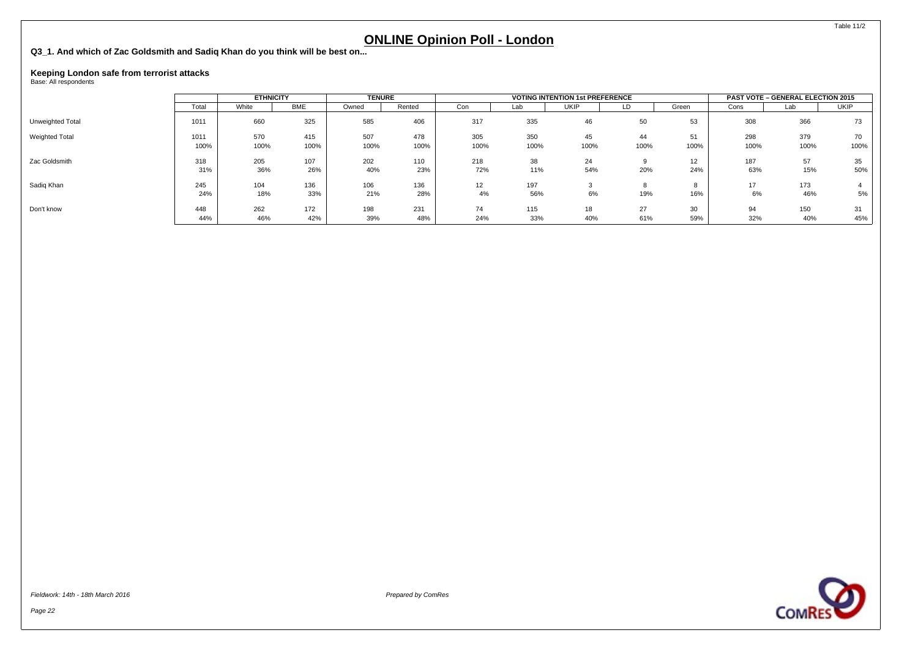**Q3\_1. And which of Zac Goldsmith and Sadiq Khan do you think will be best on...**

# **Keeping London safe from terrorist attacks** Base: All respondents

|                  |              | <b>ETHNICITY</b> |             | <b>TENURE</b> |             |             |             | <b>VOTING INTENTION 1st PREFERENCE</b> |            |            |             | <b>PAST VOTE - GENERAL ELECTION 2015</b> |            |
|------------------|--------------|------------------|-------------|---------------|-------------|-------------|-------------|----------------------------------------|------------|------------|-------------|------------------------------------------|------------|
|                  | Total        | White            | <b>BME</b>  | Owned         | Rented      | Con         | Lab         | <b>UKIP</b>                            | LD         | Green      | Cons        | Lab                                      | UKIP       |
| Unweighted Total | 1011         | 660              | 325         | 585           | 406         | 317         | 335         | 46                                     | 50         | 53         | 308         | 366                                      | 73         |
| Weighted Total   | 1011<br>100% | 570<br>100%      | 415<br>100% | 507<br>100%   | 478<br>100% | 305<br>100% | 350<br>100% | 45<br>100%                             | 44<br>100% | 51<br>100% | 298<br>100% | 379<br>100%                              | 70<br>100% |
| Zac Goldsmith    | 318<br>31%   | 205<br>36%       | 107<br>26%  | 202<br>40%    | 110<br>23%  | 218<br>72%  | 38<br>11%   | 24<br>54%                              | 20%        | 12<br>24%  | 187<br>63%  | 57<br>15%                                | 35<br>50%  |
| Sadiq Khan       | 245<br>24%   | 104<br>18%       | 136<br>33%  | 106<br>21%    | 136<br>28%  | 12<br>4%    | 197<br>56%  | 6%                                     | 19%        | 16%        | 17<br>6%    | 173<br>46%                               | 5%         |
| Don't know       | 448<br>44%   | 262<br>46%       | 172<br>42%  | 198<br>39%    | 231<br>48%  | 74<br>24%   | 115<br>33%  | 18<br>40%                              | 27<br>61%  | 30<br>59%  | 94<br>32%   | 150<br>40%                               | 31<br>45%  |

Page 22



Table 11/2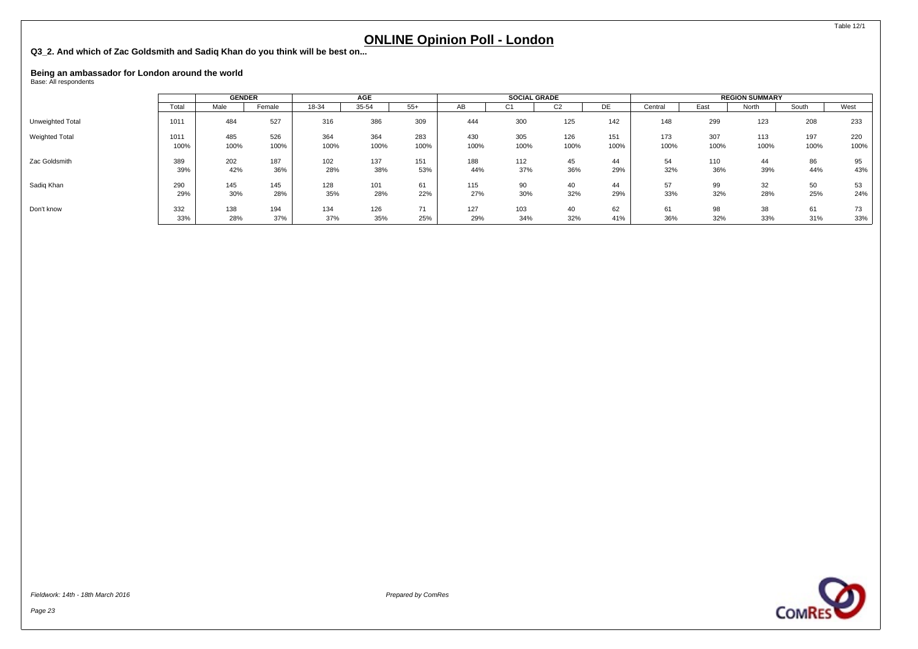<span id="page-24-0"></span>**Q3\_2. And which of Zac Goldsmith and Sadiq Khan do you think will be best on...**

# **Being an ambassador for London around the world<br><sub>Base: All respondents**</sub>

|                       |       |      | <b>GENDER</b> |       | AGE   |       |      | <b>SOCIAL GRADE</b> |                |      |         | <b>REGION SUMMARY</b> |       |       |      |  |
|-----------------------|-------|------|---------------|-------|-------|-------|------|---------------------|----------------|------|---------|-----------------------|-------|-------|------|--|
|                       | Total | Male | Female        | 18-34 | 35-54 | $55+$ | AB   | U1                  | C <sub>2</sub> | DE   | Central | East                  | North | South | West |  |
| Unweighted Total      | 1011  | 484  | 527           | 316   | 386   | 309   | 444  | 300                 | 125            | 142  | 148     | 299                   | 123   | 208   | 233  |  |
| <b>Weighted Total</b> | 1011  | 485  | 526           | 364   | 364   | 283   | 430  | 305                 | 126            | 151  | 173     | 307                   | 113   | 197   | 220  |  |
|                       | 100%  | 100% | 100%          | 100%  | 100%  | 100%  | 100% | 100%                | 100%           | 100% | 100%    | 100%                  | 100%  | 100%  | 100% |  |
| Zac Goldsmith         | 389   | 202  | 187           | 102   | 137   | 151   | 188  | 112                 | 45             | 44   | 54      | 110                   | 44    | 86    | 95   |  |
|                       | 39%   | 42%  | 36%           | 28%   | 38%   | 53%   | 44%  | 37%                 | 36%            | 29%  | 32%     | 36%                   | 39%   | 44%   | 43%  |  |
| Sadig Khan            | 290   | 145  | 145           | 128   | 101   | 61    | 115  | 90                  | 40             | 44   | 57      | 99                    | 32    | 50    | 53   |  |
|                       | 29%   | 30%  | 28%           | 35%   | 28%   | 22%   | 27%  | 30%                 | 32%            | 29%  | 33%     | 32%                   | 28%   | 25%   | 24%  |  |
| Don't know            | 332   | 138  | 194           | 134   | 126   | 74    | 127  | 103                 | 40             | 62   | 61      | 98                    | 38    | 61    | 73   |  |
|                       | 33%   | 28%  | 37%           | 37%   | 35%   | 25%   | 29%  | 34%                 | 32%            | 41%  | 36%     | 32%                   | 33%   | 31%   | 33%  |  |

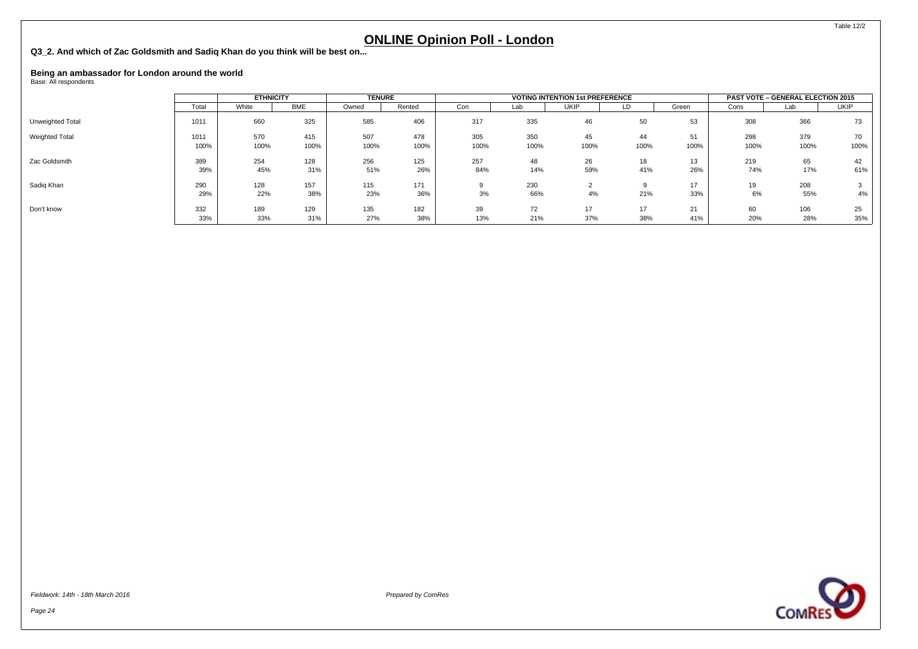**Q3\_2. And which of Zac Goldsmith and Sadiq Khan do you think will be best on...**

# **Being an ambassador for London around the world<br><sub>Base: All respondents**</sub>

|                       | <b>ETHNICITY</b> |             | <b>TENURE</b> |             |             |             | <b>VOTING INTENTION 1st PREFERENCE</b> |             | <b>PAST VOTE - GENERAL ELECTION 2015</b> |            |             |             |             |
|-----------------------|------------------|-------------|---------------|-------------|-------------|-------------|----------------------------------------|-------------|------------------------------------------|------------|-------------|-------------|-------------|
|                       | Total            | White       | BME           | Owned       | Rented      | Con         | Lab                                    | <b>UKIP</b> | LD                                       | Green      | Cons        | Lab         | <b>UKIP</b> |
| Unweighted Total      | 1011             | 660         | 325           | 585         | 406         | 317         | 335                                    | 46          | 50                                       | 53         | 308         | 366         | 73          |
| <b>Weighted Total</b> | 1011<br>100%     | 570<br>100% | 415<br>100%   | 507<br>100% | 478<br>100% | 305<br>100% | 350<br>100%                            | 45<br>100%  | 44<br>100%                               | 51<br>100% | 298<br>100% | 379<br>100% | 70<br>100%  |
| Zac Goldsmith         | 389<br>39%       | 254<br>45%  | 128<br>31%    | 256<br>51%  | 125<br>26%  | 257<br>84%  | 48<br>14%                              | 26<br>59%   | 18<br>41%                                | 13<br>26%  | 219<br>74%  | 65<br>17%   | 42<br>61%   |
| Sadig Khan            | 290<br>29%       | 128<br>22%  | 157<br>38%    | 115<br>23%  | 171<br>36%  | 9<br>3%     | 230<br>66%                             | 4%          | 21%                                      | 17<br>33%  | 19<br>6%    | 208<br>55%  | 3<br>4%     |
| Don't know            | 332<br>33%       | 189<br>33%  | 129<br>31%    | 135<br>27%  | 182<br>38%  | 39<br>13%   | 72<br>21%                              | 17<br>37%   | 17<br>38%                                | 21<br>41%  | 60<br>20%   | 106<br>28%  | 25<br>35%   |

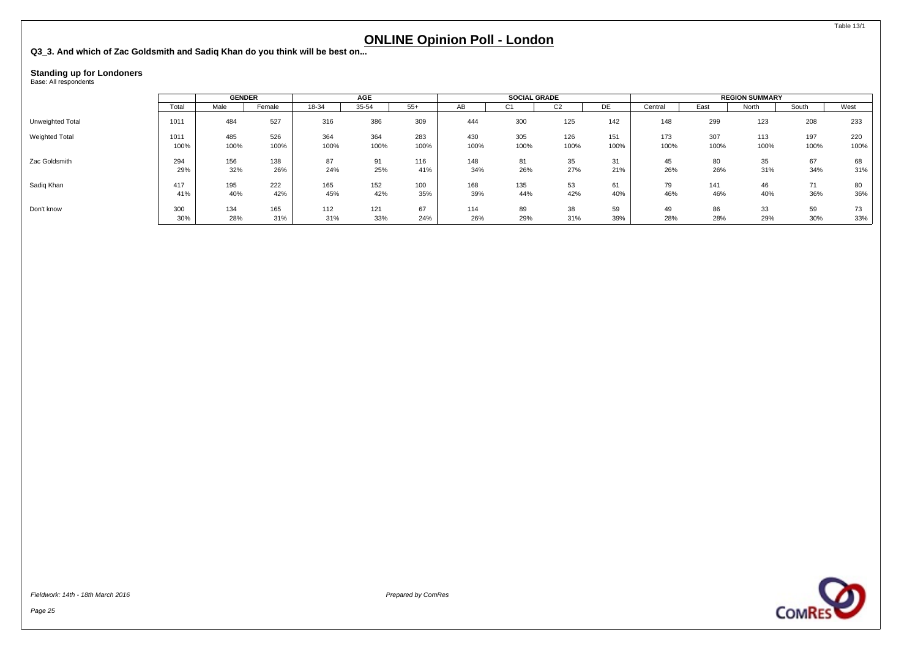<span id="page-26-0"></span>**Q3\_3. And which of Zac Goldsmith and Sadiq Khan do you think will be best on...**

# **Standing up for Londoners** Base: All respondents

|                  |       |      | <b>GENDER</b> |       | <b>AGE</b> |       |      | <b>SOCIAL GRADE</b> |        |      |         | <b>REGION SUMMARY</b> |       |       |        |  |
|------------------|-------|------|---------------|-------|------------|-------|------|---------------------|--------|------|---------|-----------------------|-------|-------|--------|--|
|                  | Total | Male | Female        | 18-34 | 35-54      | $55+$ | AB   | UT                  | $\sim$ | DE   | Central | East                  | North | South | West   |  |
| Unweighted Total | 1011  | 484  | 527           | 316   | 386        | 309   | 444  | 300                 | 125    | 142  | 148     | 299                   | 123   | 208   | 233    |  |
| Weighted Total   | 1011  | 485  | 526           | 364   | 364        | 283   | 430  | 305                 | 126    | 151  | 173     | 307                   | 113   | 197   | 220    |  |
|                  | 100%  | 100% | 100%          | 100%  | 100%       | 100%  | 100% | 100%                | 100%   | 100% | 100%    | 100%                  | 100%  | 100%  | 100%   |  |
| Zac Goldsmith    | 294   | 156  | 138           | 87    | 91         | 116   | 148  | 81                  | 35     | 31   | 45      | 80                    | 35    | 67    | 68     |  |
|                  | 29%   | 32%  | 26%           | 24%   | 25%        | 41%   | 34%  | 26%                 | 27%    | 21%  | 26%     | 26%                   | 31%   | 34%   | $31\%$ |  |
| Sadig Khan       | 417   | 195  | 222           | 165   | 152        | 100   | 168  | 135                 | 53     | 61   | 79      | 141                   | 46    | 71    | 80     |  |
|                  | 41%   | 40%  | 42%           | 45%   | 42%        | 35%   | 39%  | 44%                 | 42%    | 40%  | 46%     | 46%                   | 40%   | 36%   | 36%    |  |
| Don't know       | 300   | 134  | 165           | 112   | 121        | 67    | 114  | 89                  | 38     | 59   | 49      | 86                    | 33    | 59    | 73     |  |
|                  | 30%   | 28%  | 31%           | 31%   | 33%        | 24%   | 26%  | 29%                 | 31%    | 39%  | 28%     | 28%                   | 29%   | 30%   | 33%    |  |

Page 25





Table 13/1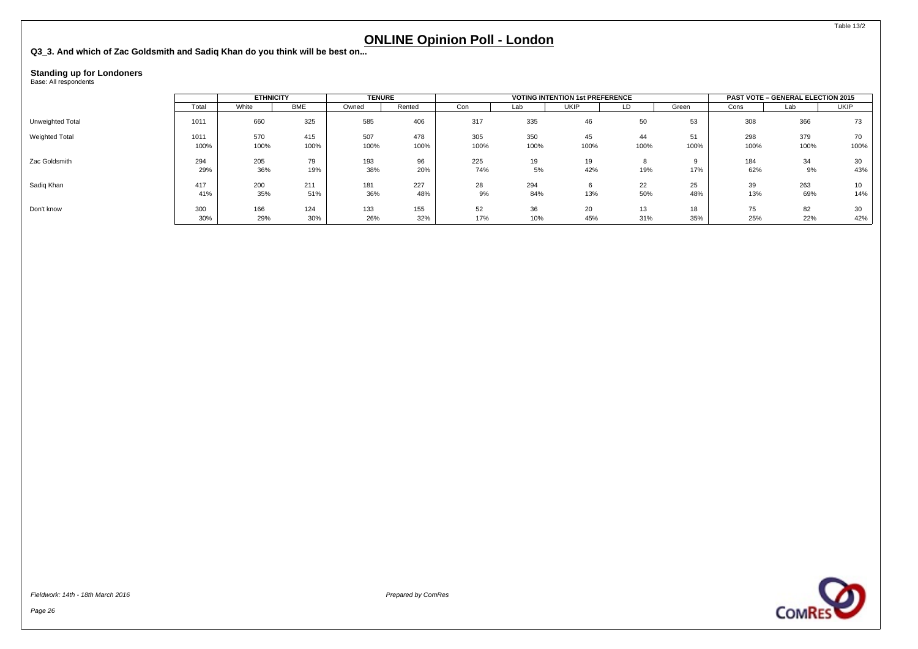**Q3\_3. And which of Zac Goldsmith and Sadiq Khan do you think will be best on...**

## **Standing up for Londoners** Base: All respondents

|                       |              | <b>ETHNICITY</b> |             | <b>TENURE</b> |             |             |             | <b>VOTING INTENTION 1st PREFERENCE</b> |            | <b>PAST VOTE - GENERAL ELECTION 2015</b> |             |             |             |
|-----------------------|--------------|------------------|-------------|---------------|-------------|-------------|-------------|----------------------------------------|------------|------------------------------------------|-------------|-------------|-------------|
|                       | Total        | White            | <b>BME</b>  | Owned         | Rented      | Con         | Lab         | UKIP                                   | LD         | Green                                    | Cons        | Lab         | <b>UKIP</b> |
| Unweighted Total      | 1011         | 660              | 325         | 585           | 406         | 317         | 335         | 46                                     | 50         | 53                                       | 308         | 366         | 73          |
| <b>Weighted Total</b> | 1011<br>100% | 570<br>100%      | 415<br>100% | 507<br>100%   | 478<br>100% | 305<br>100% | 350<br>100% | 45<br>100%                             | 44<br>100% | 51<br>100%                               | 298<br>100% | 379<br>100% | 70<br>100%  |
| Zac Goldsmith         | 294<br>29%   | 205<br>36%       | 79<br>19%   | 193<br>38%    | 96<br>20%   | 225<br>74%  | 19<br>5%    | 19<br>42%                              | 8<br>19%   | 17%                                      | 184<br>62%  | 34<br>9%    | 30<br>43%   |
| Sadig Khan            | 417<br>41%   | 200<br>35%       | 211<br>51%  | 181<br>36%    | 227<br>48%  | 28<br>9%    | 294<br>84%  | 13%                                    | 22<br>50%  | 25<br>48%                                | 39<br>13%   | 263<br>69%  | 10<br>14%   |
| Don't know            | 300<br>30%   | 166<br>29%       | 124<br>30%  | 133<br>26%    | 155<br>32%  | 52<br>17%   | 36<br>10%   | 20<br>45%                              | 13<br>31%  | 18<br>35%                                | 75<br>25%   | 82<br>22%   | 30<br>42%   |

Page 26



Table 13/2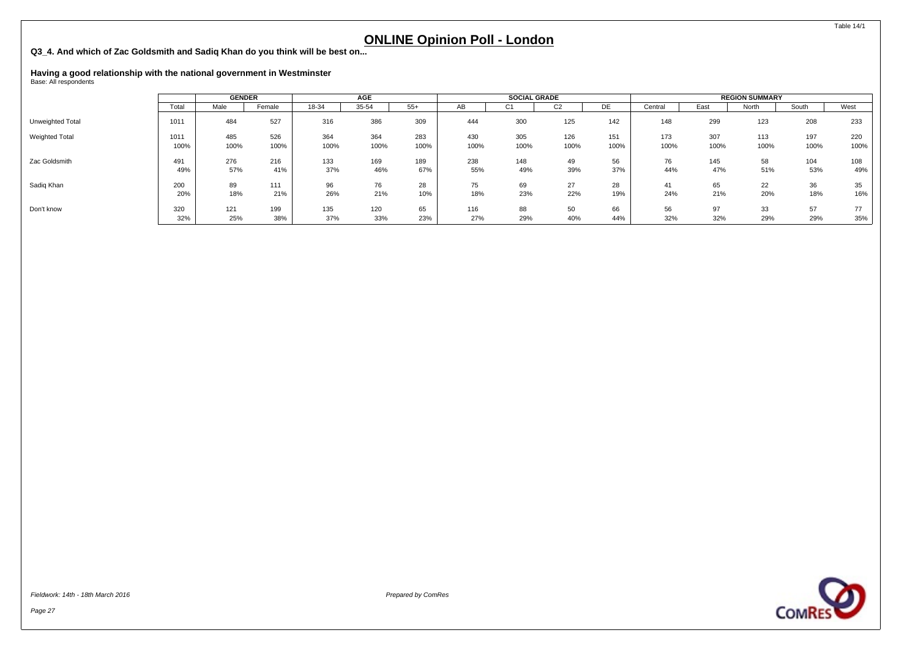<span id="page-28-0"></span>**Q3\_4. And which of Zac Goldsmith and Sadiq Khan do you think will be best on...**

# **Having a good relationship with the national government in Westminster** Base: All respondents

|                       |       | <b>GENDER</b> |        | AGE   |       |       | <b>SOCIAL GRADE</b> |      |              |      | <b>REGION SUMMARY</b> |      |       |       |      |
|-----------------------|-------|---------------|--------|-------|-------|-------|---------------------|------|--------------|------|-----------------------|------|-------|-------|------|
|                       | Total | Male          | Female | 18-34 | 35-54 | $55+$ | AВ                  | UT.  | $\sim$<br>UZ | DE   | Central               | East | North | South | West |
| Unweighted Total      | 1011  | 484           | 527    | 316   | 386   | 309   | 444                 | 300  | 125          | 142  | 148                   | 299  | 123   | 208   | 233  |
| <b>Weighted Total</b> | 1011  | 485           | 526    | 364   | 364   | 283   | 430                 | 305  | 126          | 151  | 173                   | 307  | 113   | 197   | 220  |
|                       | 100%  | 100%          | 100%   | 100%  | 100%  | 100%  | 100%                | 100% | 100%         | 100% | 100%                  | 100% | 100%  | 100%  | 100% |
| Zac Goldsmith         | 491   | 276           | 216    | 133   | 169   | 189   | 238                 | 148  | 49           | 56   | 76                    | 145  | 58    | 104   | 108  |
|                       | 49%   | 57%           | 41%    | 37%   | 46%   | 67%   | 55%                 | 49%  | 39%          | 37%  | 44%                   | 47%  | 51%   | 53%   | 49%  |
| Sadig Khan            | 200   | 89            | 111    | 96    | 76    | 28    | 75                  | 69   | 27           | 28   | 41                    | 65   | 22    | 36    | 35   |
|                       | 20%   | 18%           | 21%    | 26%   | 21%   | 10%   | 18%                 | 23%  | 22%          | 19%  | 24%                   | 21%  | 20%   | 18%   | 16%  |
| Don't know            | 320   | 121           | 199    | 135   | 120   | 65    | 116                 | 88   | 50           | 66   | 56                    | 97   | 33    | 57    | 77   |
|                       | 32%   | 25%           | 38%    | 37%   | 33%   | 23%   | 27%                 | 29%  | 40%          | 44%  | 32%                   | 32%  | 29%   | 29%   | 35%  |

Fieldwork: 14th - 18th March 2016 Prepared by ComRes



Table 14/1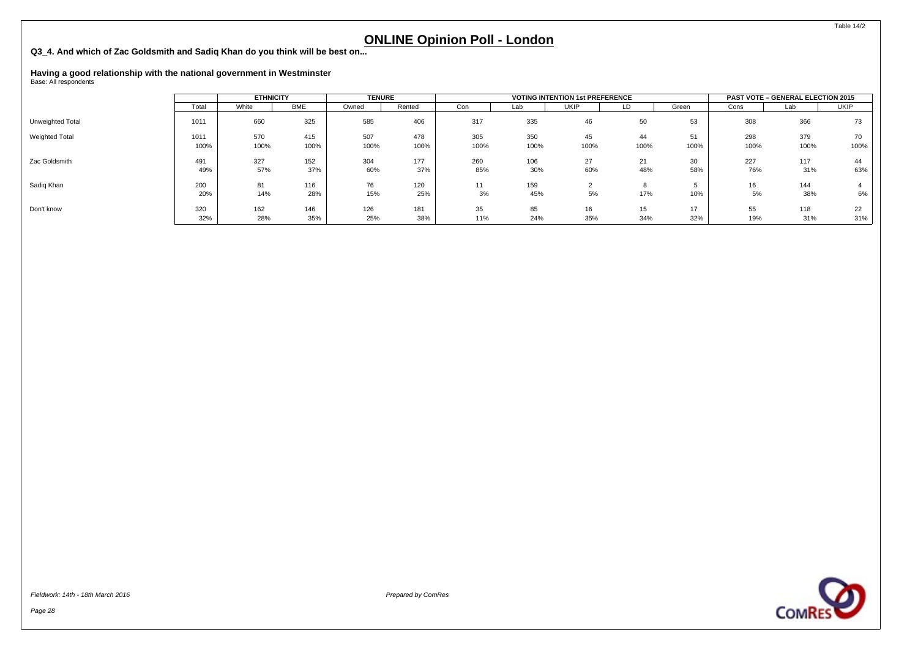**Q3\_4. And which of Zac Goldsmith and Sadiq Khan do you think will be best on...**

# **Having a good relationship with the national government in Westminster** Base: All respondents

|                  | <b>ETHNICITY</b> |             |             | <b>TENURE</b> |             |             | <b>VOTING INTENTION 1st PREFERENCE</b> |             | <b>PAST VOTE - GENERAL ELECTION 2015</b> |            |             |             |            |
|------------------|------------------|-------------|-------------|---------------|-------------|-------------|----------------------------------------|-------------|------------------------------------------|------------|-------------|-------------|------------|
|                  | Total            | White       | <b>BME</b>  | Owned         | Rented      | Con         | Lab                                    | <b>UKIP</b> | LD                                       | Green      | Cons        | Lab         | UKIP       |
| Unweighted Total | 1011             | 660         | 325         | 585           | 406         | 317         | 335                                    | 46          | 50                                       | 53         | 308         | 366         | 73         |
| Weighted Total   | 1011<br>100%     | 570<br>100% | 415<br>100% | 507<br>100%   | 478<br>100% | 305<br>100% | 350<br>100%                            | 45<br>100%  | 44<br>100%                               | 51<br>100% | 298<br>100% | 379<br>100% | 70<br>100% |
| Zac Goldsmith    | 491<br>49%       | 327<br>57%  | 152<br>37%  | 304<br>60%    | 177<br>37%  | 260<br>85%  | 106<br>30%                             | 27<br>60%   | 21<br>48%                                | 30<br>58%  | 227<br>76%  | 117<br>31%  | 44<br>63%  |
| Sadig Khan       | 200<br>20%       | 81<br>14%   | 116<br>28%  | 76<br>15%     | 120<br>25%  | 11<br>3%    | 159<br>45%                             | 5%          | 17%                                      | 10%        | 16<br>5%    | 144<br>38%  | 6%         |
| Don't know       | 320<br>32%       | 162<br>28%  | 146<br>35%  | 126<br>25%    | 181<br>38%  | 35<br>11%   | 85<br>24%                              | 16<br>35%   | 15<br>34%                                | 17<br>32%  | 55<br>19%   | 118<br>31%  | 22<br>31%  |





Table 14/2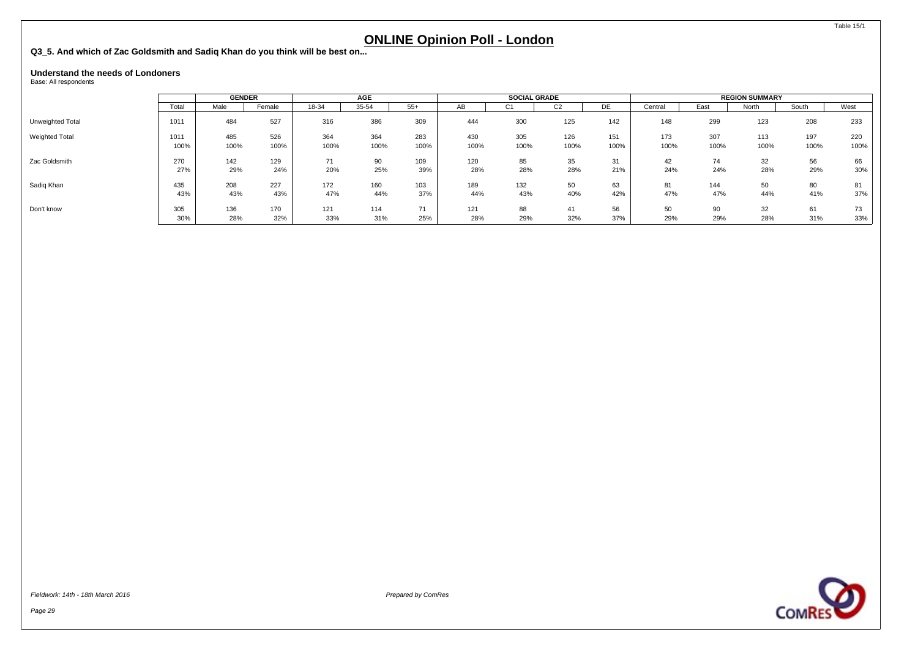<span id="page-30-0"></span>**Q3\_5. And which of Zac Goldsmith and Sadiq Khan do you think will be best on...**

#### **Understand the needs of Londoners**

Base: All respondents

|                  |       |      | <b>GENDER</b> |       | <b>AGE</b> |       |      | <b>SOCIAL GRADE</b> |                |      |         | <b>REGION SUMMARY</b> |       |       |      |  |
|------------------|-------|------|---------------|-------|------------|-------|------|---------------------|----------------|------|---------|-----------------------|-------|-------|------|--|
|                  | Total | Male | Female        | 18-34 | 35-54      | $55+$ | AB   | ◡                   | C <sub>2</sub> | DE   | Central | East                  | North | South | West |  |
| Unweighted Total | 1011  | 484  | 527           | 316   | 386        | 309   | 444  | 300                 | 125            | 142  | 148     | 299                   | 123   | 208   | 233  |  |
| Weighted Total   | 1011  | 485  | 526           | 364   | 364        | 283   | 430  | 305                 | 126            | 151  | 173     | 307                   | 113   | 197   | 220  |  |
|                  | 100%  | 100% | 100%          | 100%  | 100%       | 100%  | 100% | 100%                | 100%           | 100% | 100%    | 100%                  | 100%  | 100%  | 100% |  |
| Zac Goldsmith    | 270   | 142  | 129           | 71    | 90         | 109   | 120  | 85                  | 35             | 31   | 42      | 74                    | 32    | 56    | 66   |  |
|                  | 27%   | 29%  | 24%           | 20%   | 25%        | 39%   | 28%  | 28%                 | 28%            | 21%  | 24%     | 24%                   | 28%   | 29%   | 30%  |  |
| Sadig Khan       | 435   | 208  | 227           | 172   | 160        | 103   | 189  | 132                 | 50             | 63   | 81      | 144                   | 50    | 80    | 81   |  |
|                  | 43%   | 43%  | 43%           | 47%   | 44%        | 37%   | 44%  | 43%                 | 40%            | 42%  | 47%     | 47%                   | 44%   | 41%   | 37%  |  |
| Don't know       | 305   | 136  | 170           | 121   | 114        | 71    | 121  | 88                  | 41             | 56   | 50      | 90                    | 32    | 61    | 73   |  |
|                  | 30%   | 28%  | 32%           | 33%   | 31%        | 25%   | 28%  | 29%                 | 32%            | 37%  | 29%     | 29%                   | 28%   | 31%   | 33%  |  |

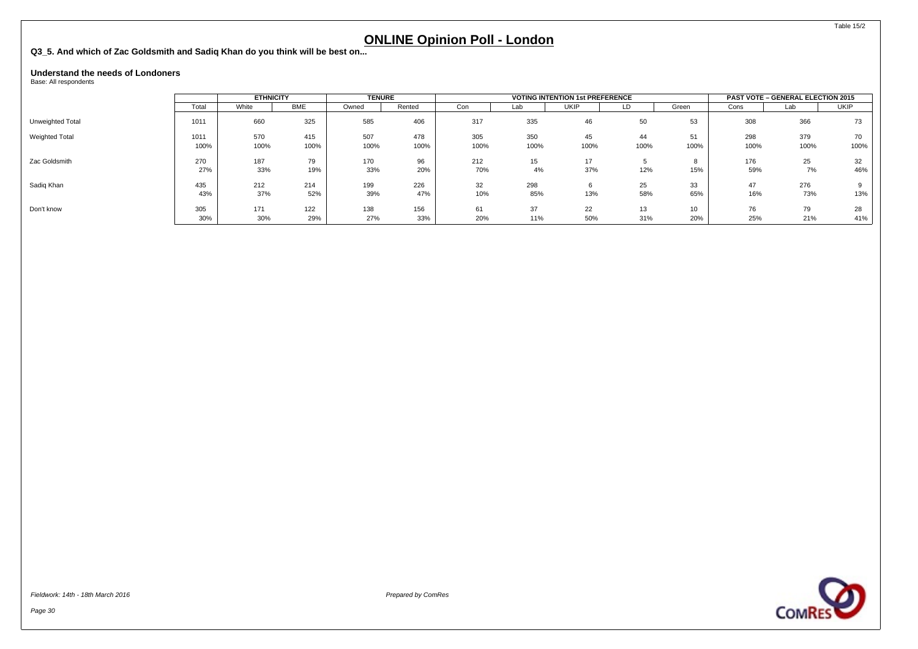**Q3\_5. And which of Zac Goldsmith and Sadiq Khan do you think will be best on...**

#### **Understand the needs of Londoners**

Base: All respondents

|                  | <b>ETHNICITY</b> |       | <b>TENURE</b> |       |        | <b>VOTING INTENTION 1st PREFERENCE</b> |      | <b>PAST VOTE - GENERAL ELECTION 2015</b> |      |               |      |      |             |
|------------------|------------------|-------|---------------|-------|--------|----------------------------------------|------|------------------------------------------|------|---------------|------|------|-------------|
|                  | Total            | White | BME           | Owned | Rented | Con                                    | Lab  | <b>UKIP</b>                              | LD   | Green         | Cons | Lab  | <b>UKIP</b> |
| Unweighted Total | 1011             | 660   | 325           | 585   | 406    | 317                                    | 335  | 46                                       | 50   | 53            | 308  | 366  | 73          |
| Weighted Total   | 1011             | 570   | 415           | 507   | 478    | 305                                    | 350  | 45                                       | 44   | 51            | 298  | 379  | 70          |
|                  | 100%             | 100%  | 100%          | 100%  | 100%   | 100%                                   | 100% | 100%                                     | 100% | 100%          | 100% | 100% | 100%        |
| Zac Goldsmith    | 270              | 187   | 79            | 170   | 96     | 212                                    | 15   | 17                                       |      | $\Omega$<br>۰ | 176  | 25   | 32          |
|                  | 27%              | 33%   | 19%           | 33%   | 20%    | 70%                                    | 4%   | 37%                                      | 12%  | 15%           | 59%  | 7%   | 46%         |
| Sadig Khan       | 435              | 212   | 214           | 199   | 226    | 32                                     | 298  |                                          | 25   | 33            | 47   | 276  |             |
|                  | 43%              | 37%   | 52%           | 39%   | 47%    | 10%                                    | 85%  | 13%                                      | 58%  | 65%           | 16%  | 73%  | 13%         |
| Don't know       | 305              | 171   | 122           | 138   | 156    | 61                                     | 37   | 22                                       | 13   | 10            | 76   | 79   | 28          |
|                  | 30%              | 30%   | 29%           | 27%   | 33%    | 20%                                    | 11%  | 50%                                      | 31%  | 20%           | 25%  | 21%  | 41%         |

Page 30



Table 15/2